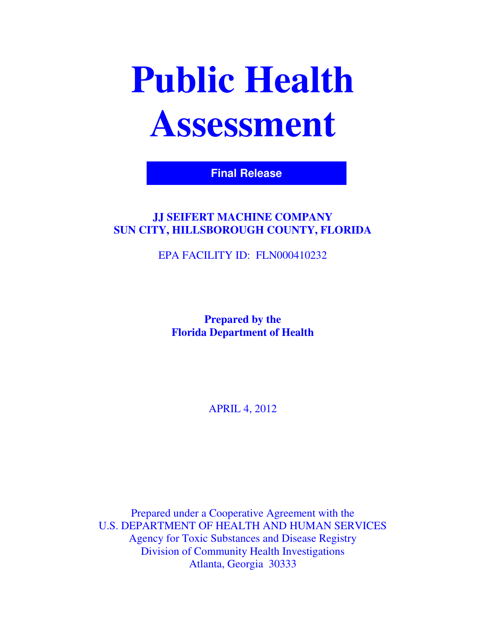# **Public Health Assessment**

**Final Release**

# **JJ SEIFERT MACHINE COMPANY SUN CITY, HILLSBOROUGH COUNTY, FLORIDA**

EPA FACILITY ID: FLN000410232

**Prepared by the Florida Department of Health** 

APRIL 4, 2012

Prepared under a Cooperative Agreement with the U.S. DEPARTMENT OF HEALTH AND HUMAN SERVICES Agency for Toxic Substances and Disease Registry Division of Community Health Investigations Atlanta, Georgia 30333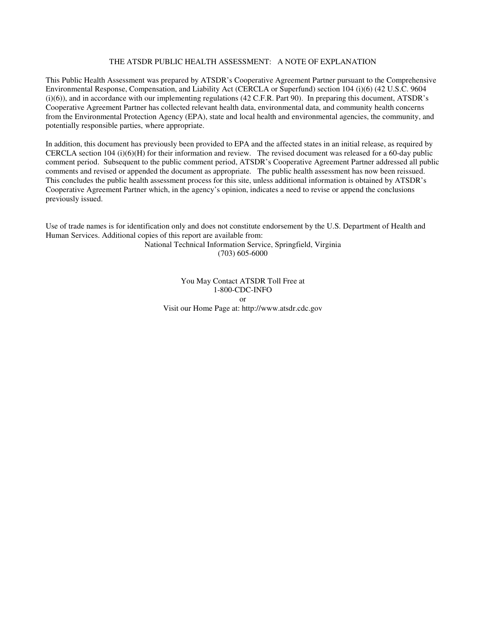#### THE ATSDR PUBLIC HEALTH ASSESSMENT: A NOTE OF EXPLANATION

This Public Health Assessment was prepared by ATSDR's Cooperative Agreement Partner pursuant to the Comprehensive Environmental Response, Compensation, and Liability Act (CERCLA or Superfund) section 104 (i)(6) (42 U.S.C. 9604  $(i)(6)$ , and in accordance with our implementing regulations (42 C.F.R. Part 90). In preparing this document, ATSDR's Cooperative Agreement Partner has collected relevant health data, environmental data, and community health concerns from the Environmental Protection Agency (EPA), state and local health and environmental agencies, the community, and potentially responsible parties, where appropriate.

In addition, this document has previously been provided to EPA and the affected states in an initial release, as required by CERCLA section 104 (i)(6)(H) for their information and review. The revised document was released for a 60-day public comment period. Subsequent to the public comment period, ATSDR's Cooperative Agreement Partner addressed all public comments and revised or appended the document as appropriate. The public health assessment has now been reissued. This concludes the public health assessment process for this site, unless additional information is obtained by ATSDR's Cooperative Agreement Partner which, in the agency's opinion, indicates a need to revise or append the conclusions previously issued.

Use of trade names is for identification only and does not constitute endorsement by the U.S. Department of Health and Human Services. Additional copies of this report are available from:

National Technical Information Service, Springfield, Virginia (703) 605-6000

You May Contact ATSDR Toll Free at 1-800-CDC-INFO or Visit our Home Page at: http://www.atsdr.cdc.gov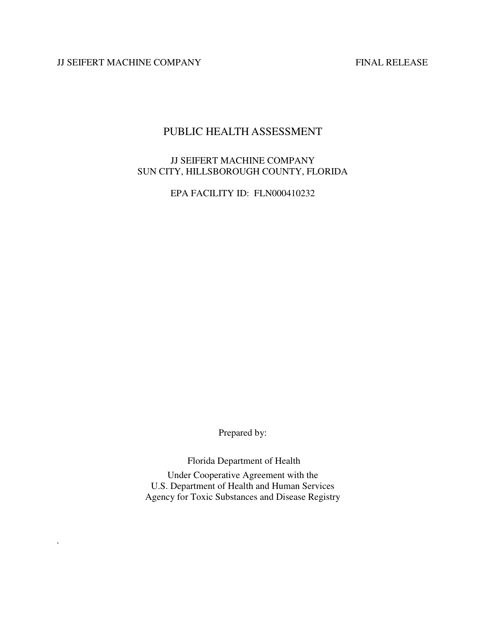JJ SEIFERT MACHINE COMPANY FINAL RELEASE

*.* 

# PUBLIC HEALTH ASSESSMENT

#### JJ SEIFERT MACHINE COMPANY SUN CITY, HILLSBOROUGH COUNTY, FLORIDA

EPA FACILITY ID: FLN000410232

Prepared by:

Florida Department of Health

Under Cooperative Agreement with the U.S. Department of Health and Human Services Agency for Toxic Substances and Disease Registry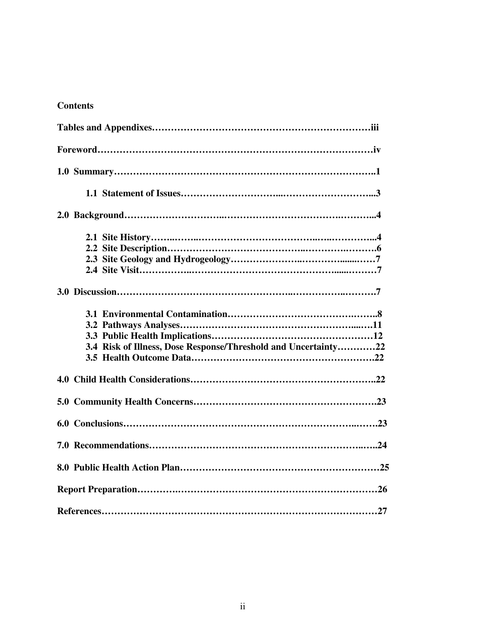# **Contents**

| 3.4 Risk of Illness, Dose Response/Threshold and Uncertainty22 |
|----------------------------------------------------------------|
|                                                                |
|                                                                |
|                                                                |
|                                                                |
|                                                                |
|                                                                |
|                                                                |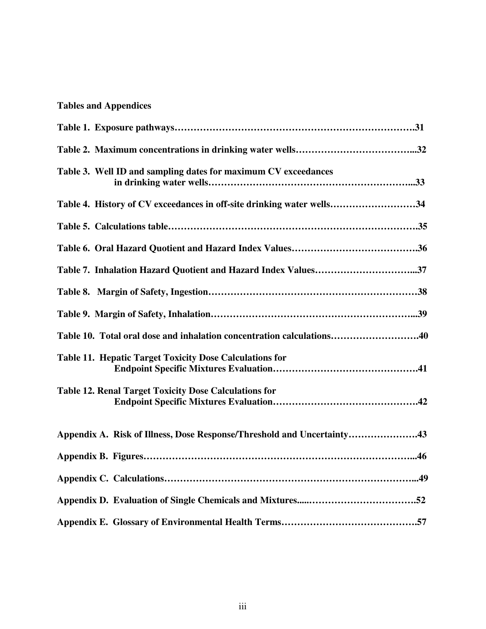# **Tables and Appendices**

| Table 3. Well ID and sampling dates for maximum CV exceedances         |
|------------------------------------------------------------------------|
| Table 4. History of CV exceedances in off-site drinking water wells34  |
|                                                                        |
|                                                                        |
| Table 7. Inhalation Hazard Quotient and Hazard Index Values37          |
|                                                                        |
|                                                                        |
| Table 10. Total oral dose and inhalation concentration calculations40  |
| <b>Table 11. Hepatic Target Toxicity Dose Calculations for</b>         |
| <b>Table 12. Renal Target Toxicity Dose Calculations for</b>           |
| Appendix A. Risk of Illness, Dose Response/Threshold and Uncertainty43 |
|                                                                        |
|                                                                        |
|                                                                        |
|                                                                        |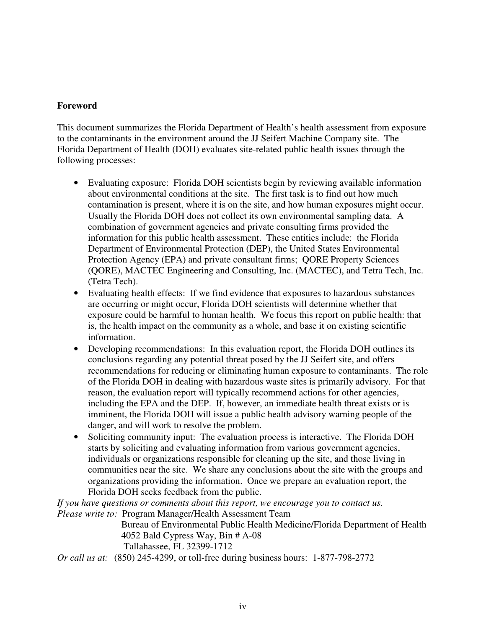#### **Foreword**

This document summarizes the Florida Department of Health's health assessment from exposure to the contaminants in the environment around the JJ Seifert Machine Company site. The Florida Department of Health (DOH) evaluates site-related public health issues through the following processes:

- Evaluating exposure: Florida DOH scientists begin by reviewing available information about environmental conditions at the site. The first task is to find out how much contamination is present, where it is on the site, and how human exposures might occur. Usually the Florida DOH does not collect its own environmental sampling data. A combination of government agencies and private consulting firms provided the information for this public health assessment. These entities include: the Florida Department of Environmental Protection (DEP), the United States Environmental Protection Agency (EPA) and private consultant firms; QORE Property Sciences (QORE), MACTEC Engineering and Consulting, Inc. (MACTEC), and Tetra Tech, Inc. (Tetra Tech).
- Evaluating health effects: If we find evidence that exposures to hazardous substances are occurring or might occur, Florida DOH scientists will determine whether that exposure could be harmful to human health. We focus this report on public health: that is, the health impact on the community as a whole, and base it on existing scientific information.
- Developing recommendations: In this evaluation report, the Florida DOH outlines its conclusions regarding any potential threat posed by the JJ Seifert site, and offers recommendations for reducing or eliminating human exposure to contaminants. The role of the Florida DOH in dealing with hazardous waste sites is primarily advisory. For that reason, the evaluation report will typically recommend actions for other agencies, including the EPA and the DEP. If, however, an immediate health threat exists or is imminent, the Florida DOH will issue a public health advisory warning people of the danger, and will work to resolve the problem.
- Soliciting community input: The evaluation process is interactive. The Florida DOH starts by soliciting and evaluating information from various government agencies, individuals or organizations responsible for cleaning up the site, and those living in communities near the site. We share any conclusions about the site with the groups and organizations providing the information. Once we prepare an evaluation report, the Florida DOH seeks feedback from the public.

*If you have questions or comments about this report, we encourage you to contact us. Please write to:* Program Manager/Health Assessment Team

> Bureau of Environmental Public Health Medicine/Florida Department of Health 4052 Bald Cypress Way, Bin # A-08 Tallahassee, FL 32399-1712

*Or call us at:* (850) 245-4299, or toll-free during business hours: 1-877-798-2772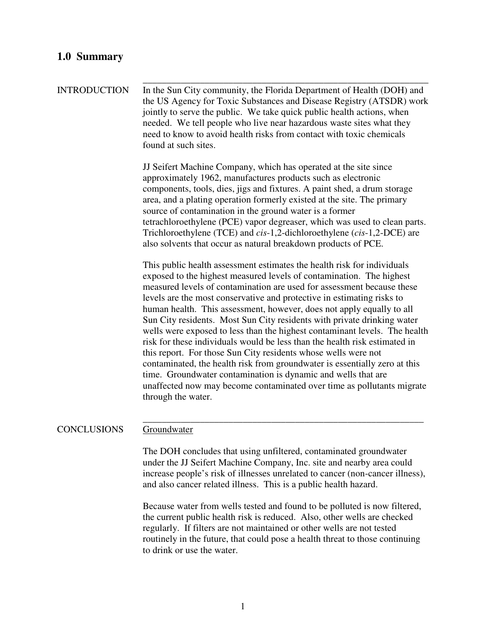## **1.0 Summary**

\_\_\_\_\_\_\_\_\_\_\_\_\_\_\_\_\_\_\_\_\_\_\_\_\_\_\_\_\_\_\_\_\_\_\_\_\_\_\_\_\_\_\_\_\_\_\_\_\_\_\_\_\_\_\_\_\_\_\_\_ INTRODUCTION In the Sun City community, the Florida Department of Health (DOH) and the US Agency for Toxic Substances and Disease Registry (ATSDR) work jointly to serve the public. We take quick public health actions, when needed. We tell people who live near hazardous waste sites what they need to know to avoid health risks from contact with toxic chemicals found at such sites.

> JJ Seifert Machine Company, which has operated at the site since approximately 1962, manufactures products such as electronic components, tools, dies, jigs and fixtures. A paint shed, a drum storage area, and a plating operation formerly existed at the site. The primary source of contamination in the ground water is a former tetrachloroethylene (PCE) vapor degreaser, which was used to clean parts. Trichloroethylene (TCE) and *cis*-1,2-dichloroethylene (*cis*-1,2-DCE) are also solvents that occur as natural breakdown products of PCE.

> This public health assessment estimates the health risk for individuals exposed to the highest measured levels of contamination. The highest measured levels of contamination are used for assessment because these levels are the most conservative and protective in estimating risks to human health. This assessment, however, does not apply equally to all Sun City residents. Most Sun City residents with private drinking water wells were exposed to less than the highest contaminant levels. The health risk for these individuals would be less than the health risk estimated in this report. For those Sun City residents whose wells were not contaminated, the health risk from groundwater is essentially zero at this time. Groundwater contamination is dynamic and wells that are unaffected now may become contaminated over time as pollutants migrate through the water.

#### \_\_\_\_\_\_\_\_\_\_\_\_\_\_\_\_\_\_\_\_\_\_\_\_\_\_\_\_\_\_\_\_\_\_\_\_\_\_\_\_\_\_\_\_\_\_\_\_\_\_\_\_\_\_\_\_\_\_\_ CONCLUSIONS Groundwater

The DOH concludes that using unfiltered, contaminated groundwater under the JJ Seifert Machine Company, Inc. site and nearby area could increase people's risk of illnesses unrelated to cancer (non-cancer illness), and also cancer related illness. This is a public health hazard.

Because water from wells tested and found to be polluted is now filtered, the current public health risk is reduced. Also, other wells are checked regularly. If filters are not maintained or other wells are not tested routinely in the future, that could pose a health threat to those continuing to drink or use the water.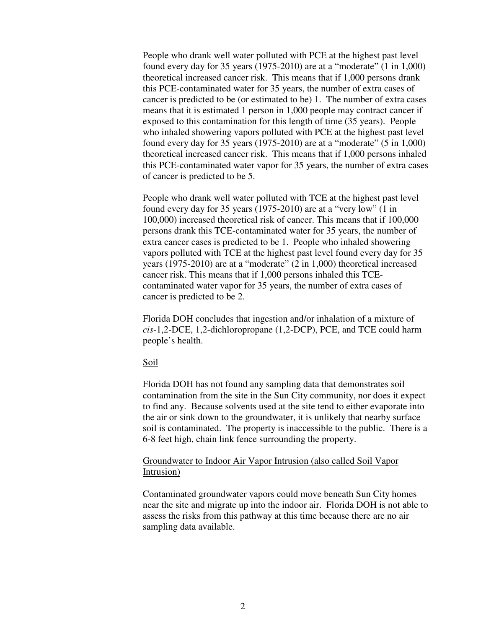People who drank well water polluted with PCE at the highest past level found every day for 35 years (1975-2010) are at a "moderate" (1 in 1,000) theoretical increased cancer risk. This means that if 1,000 persons drank this PCE-contaminated water for 35 years, the number of extra cases of cancer is predicted to be (or estimated to be) 1. The number of extra cases means that it is estimated 1 person in 1,000 people may contract cancer if exposed to this contamination for this length of time (35 years). People who inhaled showering vapors polluted with PCE at the highest past level found every day for 35 years (1975-2010) are at a "moderate" (5 in 1,000) theoretical increased cancer risk. This means that if 1,000 persons inhaled this PCE-contaminated water vapor for 35 years, the number of extra cases of cancer is predicted to be 5.

People who drank well water polluted with TCE at the highest past level found every day for 35 years (1975-2010) are at a "very low" (1 in 100,000) increased theoretical risk of cancer. This means that if 100,000 persons drank this TCE-contaminated water for 35 years, the number of extra cancer cases is predicted to be 1. People who inhaled showering vapors polluted with TCE at the highest past level found every day for 35 years (1975-2010) are at a "moderate" (2 in 1,000) theoretical increased cancer risk. This means that if 1,000 persons inhaled this TCEcontaminated water vapor for 35 years, the number of extra cases of cancer is predicted to be 2.

Florida DOH concludes that ingestion and/or inhalation of a mixture of *cis*-1,2-DCE, 1,2-dichloropropane (1,2-DCP), PCE, and TCE could harm people's health.

#### Soil

Florida DOH has not found any sampling data that demonstrates soil contamination from the site in the Sun City community, nor does it expect to find any. Because solvents used at the site tend to either evaporate into the air or sink down to the groundwater, it is unlikely that nearby surface soil is contaminated. The property is inaccessible to the public. There is a 6-8 feet high, chain link fence surrounding the property.

#### Groundwater to Indoor Air Vapor Intrusion (also called Soil Vapor Intrusion)

Contaminated groundwater vapors could move beneath Sun City homes near the site and migrate up into the indoor air. Florida DOH is not able to assess the risks from this pathway at this time because there are no air sampling data available.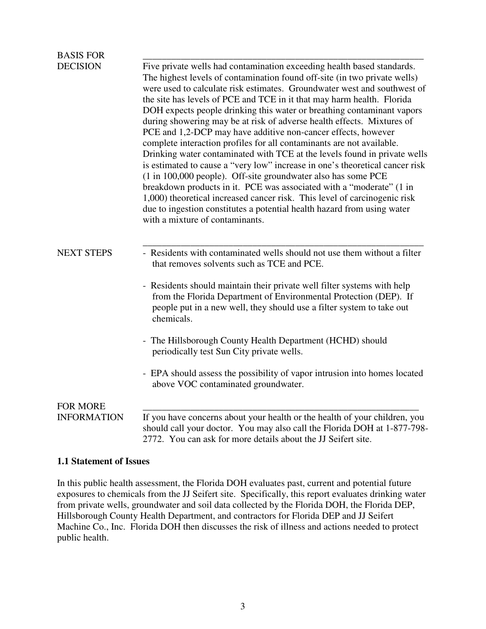| <b>BASIS FOR</b>   |                                                                                                                                                                                                                                                                                                                                                                                                                                                                                                                                                                                                                                                                                                                                                                                                                                                                                                                                                                                                                                                                                                          |
|--------------------|----------------------------------------------------------------------------------------------------------------------------------------------------------------------------------------------------------------------------------------------------------------------------------------------------------------------------------------------------------------------------------------------------------------------------------------------------------------------------------------------------------------------------------------------------------------------------------------------------------------------------------------------------------------------------------------------------------------------------------------------------------------------------------------------------------------------------------------------------------------------------------------------------------------------------------------------------------------------------------------------------------------------------------------------------------------------------------------------------------|
| <b>DECISION</b>    | Five private wells had contamination exceeding health based standards.<br>The highest levels of contamination found off-site (in two private wells)<br>were used to calculate risk estimates. Groundwater west and southwest of<br>the site has levels of PCE and TCE in it that may harm health. Florida<br>DOH expects people drinking this water or breathing contaminant vapors<br>during showering may be at risk of adverse health effects. Mixtures of<br>PCE and 1,2-DCP may have additive non-cancer effects, however<br>complete interaction profiles for all contaminants are not available.<br>Drinking water contaminated with TCE at the levels found in private wells<br>is estimated to cause a "very low" increase in one's theoretical cancer risk<br>(1 in 100,000 people). Off-site groundwater also has some PCE<br>breakdown products in it. PCE was associated with a "moderate" (1 in<br>1,000) theoretical increased cancer risk. This level of carcinogenic risk<br>due to ingestion constitutes a potential health hazard from using water<br>with a mixture of contaminants. |
| <b>NEXT STEPS</b>  | - Residents with contaminated wells should not use them without a filter<br>that removes solvents such as TCE and PCE.                                                                                                                                                                                                                                                                                                                                                                                                                                                                                                                                                                                                                                                                                                                                                                                                                                                                                                                                                                                   |
|                    | - Residents should maintain their private well filter systems with help<br>from the Florida Department of Environmental Protection (DEP). If<br>people put in a new well, they should use a filter system to take out<br>chemicals.                                                                                                                                                                                                                                                                                                                                                                                                                                                                                                                                                                                                                                                                                                                                                                                                                                                                      |
|                    | - The Hillsborough County Health Department (HCHD) should<br>periodically test Sun City private wells.                                                                                                                                                                                                                                                                                                                                                                                                                                                                                                                                                                                                                                                                                                                                                                                                                                                                                                                                                                                                   |
|                    | - EPA should assess the possibility of vapor intrusion into homes located<br>above VOC contaminated groundwater.                                                                                                                                                                                                                                                                                                                                                                                                                                                                                                                                                                                                                                                                                                                                                                                                                                                                                                                                                                                         |
| <b>FOR MORE</b>    |                                                                                                                                                                                                                                                                                                                                                                                                                                                                                                                                                                                                                                                                                                                                                                                                                                                                                                                                                                                                                                                                                                          |
| <b>INFORMATION</b> | If you have concerns about your health or the health of your children, you<br>should call your doctor. You may also call the Florida DOH at 1-877-798-<br>2772. You can ask for more details about the JJ Seifert site.                                                                                                                                                                                                                                                                                                                                                                                                                                                                                                                                                                                                                                                                                                                                                                                                                                                                                  |

#### **1.1 Statement of Issues**

In this public health assessment, the Florida DOH evaluates past, current and potential future exposures to chemicals from the JJ Seifert site. Specifically, this report evaluates drinking water from private wells, groundwater and soil data collected by the Florida DOH, the Florida DEP, Hillsborough County Health Department, and contractors for Florida DEP and JJ Seifert Machine Co., Inc. Florida DOH then discusses the risk of illness and actions needed to protect public health.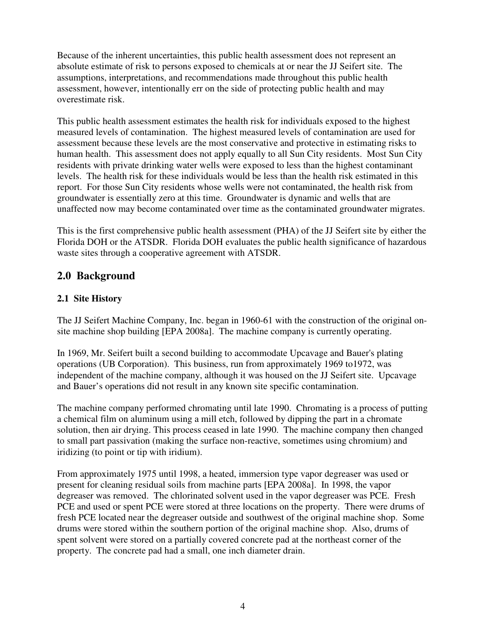Because of the inherent uncertainties, this public health assessment does not represent an absolute estimate of risk to persons exposed to chemicals at or near the JJ Seifert site. The assumptions, interpretations, and recommendations made throughout this public health assessment, however, intentionally err on the side of protecting public health and may overestimate risk.

This public health assessment estimates the health risk for individuals exposed to the highest measured levels of contamination. The highest measured levels of contamination are used for assessment because these levels are the most conservative and protective in estimating risks to human health. This assessment does not apply equally to all Sun City residents. Most Sun City residents with private drinking water wells were exposed to less than the highest contaminant levels. The health risk for these individuals would be less than the health risk estimated in this report. For those Sun City residents whose wells were not contaminated, the health risk from groundwater is essentially zero at this time. Groundwater is dynamic and wells that are unaffected now may become contaminated over time as the contaminated groundwater migrates.

This is the first comprehensive public health assessment (PHA) of the JJ Seifert site by either the Florida DOH or the ATSDR. Florida DOH evaluates the public health significance of hazardous waste sites through a cooperative agreement with ATSDR.

# **2.0 Background**

## **2.1 Site History**

The JJ Seifert Machine Company, Inc. began in 1960-61 with the construction of the original onsite machine shop building [EPA 2008a]. The machine company is currently operating.

In 1969, Mr. Seifert built a second building to accommodate Upcavage and Bauer's plating operations (UB Corporation). This business, run from approximately 1969 to1972, was independent of the machine company, although it was housed on the JJ Seifert site. Upcavage and Bauer's operations did not result in any known site specific contamination.

The machine company performed chromating until late 1990. Chromating is a process of putting a chemical film on aluminum using a mill etch, followed by dipping the part in a chromate solution, then air drying. This process ceased in late 1990. The machine company then changed to small part passivation (making the surface non-reactive, sometimes using chromium) and iridizing (to point or tip with iridium).

From approximately 1975 until 1998, a heated, immersion type vapor degreaser was used or present for cleaning residual soils from machine parts [EPA 2008a]. In 1998, the vapor degreaser was removed. The chlorinated solvent used in the vapor degreaser was PCE. Fresh PCE and used or spent PCE were stored at three locations on the property. There were drums of fresh PCE located near the degreaser outside and southwest of the original machine shop. Some drums were stored within the southern portion of the original machine shop. Also, drums of spent solvent were stored on a partially covered concrete pad at the northeast corner of the property. The concrete pad had a small, one inch diameter drain.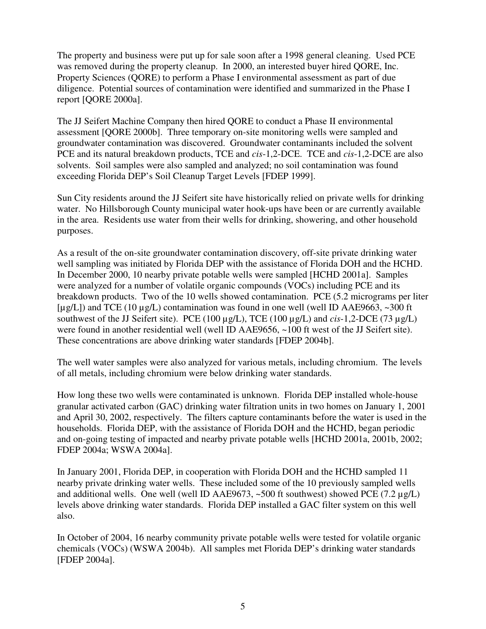The property and business were put up for sale soon after a 1998 general cleaning. Used PCE was removed during the property cleanup. In 2000, an interested buyer hired OORE, Inc. Property Sciences (QORE) to perform a Phase I environmental assessment as part of due diligence. Potential sources of contamination were identified and summarized in the Phase I report [QORE 2000a].

The JJ Seifert Machine Company then hired QORE to conduct a Phase II environmental assessment [QORE 2000b]. Three temporary on-site monitoring wells were sampled and groundwater contamination was discovered. Groundwater contaminants included the solvent PCE and its natural breakdown products, TCE and *cis*-1,2-DCE. TCE and *cis*-1,2-DCE are also solvents. Soil samples were also sampled and analyzed; no soil contamination was found exceeding Florida DEP's Soil Cleanup Target Levels [FDEP 1999].

Sun City residents around the JJ Seifert site have historically relied on private wells for drinking water. No Hillsborough County municipal water hook-ups have been or are currently available in the area. Residents use water from their wells for drinking, showering, and other household purposes.

As a result of the on-site groundwater contamination discovery, off-site private drinking water well sampling was initiated by Florida DEP with the assistance of Florida DOH and the HCHD. In December 2000, 10 nearby private potable wells were sampled [HCHD 2001a]. Samples were analyzed for a number of volatile organic compounds (VOCs) including PCE and its breakdown products. Two of the 10 wells showed contamination. PCE (5.2 micrograms per liter [ $\mu$ g/L]) and TCE (10  $\mu$ g/L) contamination was found in one well (well ID AAE9663, ~300 ft southwest of the JJ Seifert site). PCE (100 µg/L), TCE (100 µg/L) and *cis*-1,2-DCE (73 µg/L) were found in another residential well (well ID AAE9656, ~100 ft west of the JJ Seifert site). These concentrations are above drinking water standards [FDEP 2004b].

The well water samples were also analyzed for various metals, including chromium. The levels of all metals, including chromium were below drinking water standards.

How long these two wells were contaminated is unknown. Florida DEP installed whole-house granular activated carbon (GAC) drinking water filtration units in two homes on January 1, 2001 and April 30, 2002, respectively. The filters capture contaminants before the water is used in the households. Florida DEP, with the assistance of Florida DOH and the HCHD, began periodic and on-going testing of impacted and nearby private potable wells [HCHD 2001a, 2001b, 2002; FDEP 2004a; WSWA 2004a].

In January 2001, Florida DEP, in cooperation with Florida DOH and the HCHD sampled 11 nearby private drinking water wells. These included some of the 10 previously sampled wells and additional wells. One well (well ID AAE9673,  $\sim$  500 ft southwest) showed PCE (7.2  $\mu$ g/L) levels above drinking water standards. Florida DEP installed a GAC filter system on this well also.

In October of 2004, 16 nearby community private potable wells were tested for volatile organic chemicals (VOCs) (WSWA 2004b). All samples met Florida DEP's drinking water standards [FDEP 2004a].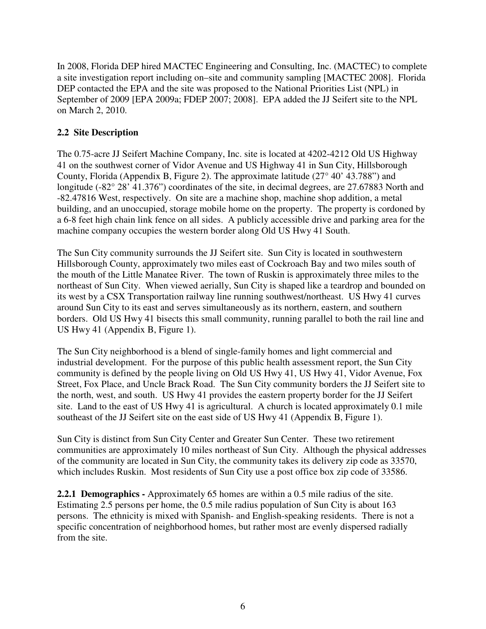In 2008, Florida DEP hired MACTEC Engineering and Consulting, Inc. (MACTEC) to complete a site investigation report including on–site and community sampling [MACTEC 2008]. Florida DEP contacted the EPA and the site was proposed to the National Priorities List (NPL) in September of 2009 [EPA 2009a; FDEP 2007; 2008]. EPA added the JJ Seifert site to the NPL on March 2, 2010.

## **2.2 Site Description**

The 0.75-acre JJ Seifert Machine Company, Inc. site is located at 4202-4212 Old US Highway 41 on the southwest corner of Vidor Avenue and US Highway 41 in Sun City, Hillsborough County, Florida (Appendix B, Figure 2). The approximate latitude (27° 40' 43.788") and longitude (-82° 28' 41.376") coordinates of the site, in decimal degrees, are 27.67883 North and -82.47816 West, respectively. On site are a machine shop, machine shop addition, a metal building, and an unoccupied, storage mobile home on the property. The property is cordoned by a 6-8 feet high chain link fence on all sides. A publicly accessible drive and parking area for the machine company occupies the western border along Old US Hwy 41 South.

The Sun City community surrounds the JJ Seifert site. Sun City is located in southwestern Hillsborough County, approximately two miles east of Cockroach Bay and two miles south of the mouth of the Little Manatee River. The town of Ruskin is approximately three miles to the northeast of Sun City. When viewed aerially, Sun City is shaped like a teardrop and bounded on its west by a CSX Transportation railway line running southwest/northeast. US Hwy 41 curves around Sun City to its east and serves simultaneously as its northern, eastern, and southern borders. Old US Hwy 41 bisects this small community, running parallel to both the rail line and US Hwy 41 (Appendix B, Figure 1).

The Sun City neighborhood is a blend of single-family homes and light commercial and industrial development. For the purpose of this public health assessment report, the Sun City community is defined by the people living on Old US Hwy 41, US Hwy 41, Vidor Avenue, Fox Street, Fox Place, and Uncle Brack Road. The Sun City community borders the JJ Seifert site to the north, west, and south. US Hwy 41 provides the eastern property border for the JJ Seifert site. Land to the east of US Hwy 41 is agricultural. A church is located approximately 0.1 mile southeast of the JJ Seifert site on the east side of US Hwy 41 (Appendix B, Figure 1).

Sun City is distinct from Sun City Center and Greater Sun Center. These two retirement communities are approximately 10 miles northeast of Sun City. Although the physical addresses of the community are located in Sun City, the community takes its delivery zip code as 33570, which includes Ruskin. Most residents of Sun City use a post office box zip code of 33586.

**2.2.1 Demographics -** Approximately 65 homes are within a 0.5 mile radius of the site. Estimating 2.5 persons per home, the 0.5 mile radius population of Sun City is about 163 persons. The ethnicity is mixed with Spanish- and English-speaking residents. There is not a specific concentration of neighborhood homes, but rather most are evenly dispersed radially from the site.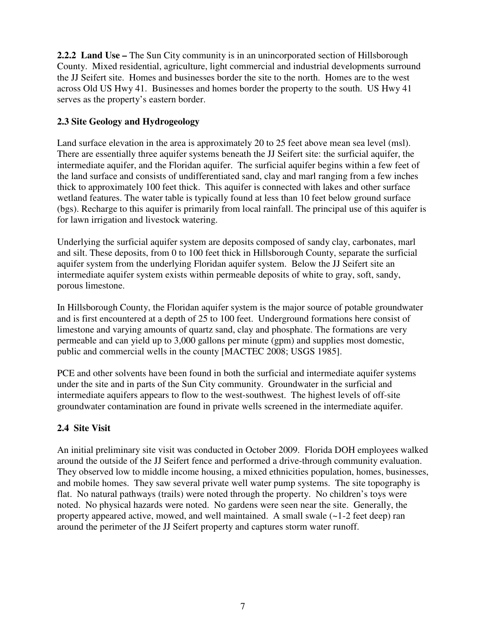**2.2.2 Land Use –** The Sun City community is in an unincorporated section of Hillsborough County. Mixed residential, agriculture, light commercial and industrial developments surround the JJ Seifert site. Homes and businesses border the site to the north. Homes are to the west across Old US Hwy 41. Businesses and homes border the property to the south. US Hwy 41 serves as the property's eastern border.

## **2.3 Site Geology and Hydrogeology**

Land surface elevation in the area is approximately 20 to 25 feet above mean sea level (msl). There are essentially three aquifer systems beneath the JJ Seifert site: the surficial aquifer, the intermediate aquifer, and the Floridan aquifer. The surficial aquifer begins within a few feet of the land surface and consists of undifferentiated sand, clay and marl ranging from a few inches thick to approximately 100 feet thick. This aquifer is connected with lakes and other surface wetland features. The water table is typically found at less than 10 feet below ground surface (bgs). Recharge to this aquifer is primarily from local rainfall. The principal use of this aquifer is for lawn irrigation and livestock watering.

Underlying the surficial aquifer system are deposits composed of sandy clay, carbonates, marl and silt. These deposits, from 0 to 100 feet thick in Hillsborough County, separate the surficial aquifer system from the underlying Floridan aquifer system. Below the JJ Seifert site an intermediate aquifer system exists within permeable deposits of white to gray, soft, sandy, porous limestone.

In Hillsborough County, the Floridan aquifer system is the major source of potable groundwater and is first encountered at a depth of 25 to 100 feet. Underground formations here consist of limestone and varying amounts of quartz sand, clay and phosphate. The formations are very permeable and can yield up to 3,000 gallons per minute (gpm) and supplies most domestic, public and commercial wells in the county [MACTEC 2008; USGS 1985].

PCE and other solvents have been found in both the surficial and intermediate aquifer systems under the site and in parts of the Sun City community. Groundwater in the surficial and intermediate aquifers appears to flow to the west-southwest. The highest levels of off-site groundwater contamination are found in private wells screened in the intermediate aquifer.

## **2.4 Site Visit**

An initial preliminary site visit was conducted in October 2009. Florida DOH employees walked around the outside of the JJ Seifert fence and performed a drive-through community evaluation. They observed low to middle income housing, a mixed ethnicities population, homes, businesses, and mobile homes. They saw several private well water pump systems. The site topography is flat. No natural pathways (trails) were noted through the property. No children's toys were noted. No physical hazards were noted. No gardens were seen near the site. Generally, the property appeared active, mowed, and well maintained. A small swale (~1-2 feet deep) ran around the perimeter of the JJ Seifert property and captures storm water runoff.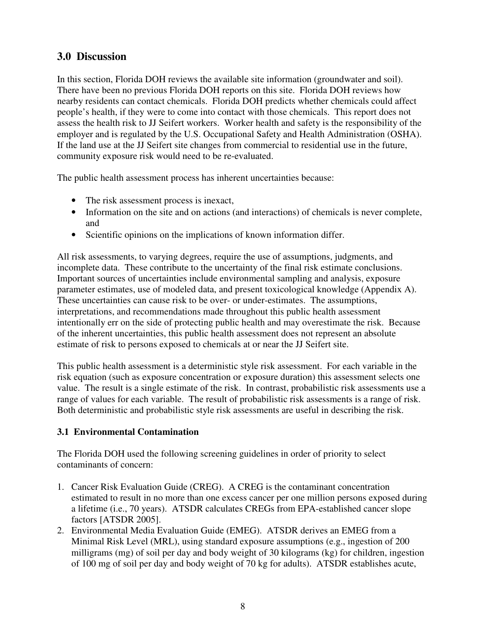# **3.0 Discussion**

In this section, Florida DOH reviews the available site information (groundwater and soil). There have been no previous Florida DOH reports on this site. Florida DOH reviews how nearby residents can contact chemicals. Florida DOH predicts whether chemicals could affect people's health, if they were to come into contact with those chemicals. This report does not assess the health risk to JJ Seifert workers. Worker health and safety is the responsibility of the employer and is regulated by the U.S. Occupational Safety and Health Administration (OSHA). If the land use at the JJ Seifert site changes from commercial to residential use in the future, community exposure risk would need to be re-evaluated.

The public health assessment process has inherent uncertainties because:

- The risk assessment process is inexact,
- Information on the site and on actions (and interactions) of chemicals is never complete, and
- Scientific opinions on the implications of known information differ.

All risk assessments, to varying degrees, require the use of assumptions, judgments, and incomplete data. These contribute to the uncertainty of the final risk estimate conclusions. Important sources of uncertainties include environmental sampling and analysis, exposure parameter estimates, use of modeled data, and present toxicological knowledge (Appendix A). These uncertainties can cause risk to be over- or under-estimates. The assumptions, interpretations, and recommendations made throughout this public health assessment intentionally err on the side of protecting public health and may overestimate the risk. Because of the inherent uncertainties, this public health assessment does not represent an absolute estimate of risk to persons exposed to chemicals at or near the JJ Seifert site.

This public health assessment is a deterministic style risk assessment. For each variable in the risk equation (such as exposure concentration or exposure duration) this assessment selects one value. The result is a single estimate of the risk. In contrast, probabilistic risk assessments use a range of values for each variable. The result of probabilistic risk assessments is a range of risk. Both deterministic and probabilistic style risk assessments are useful in describing the risk.

# **3.1 Environmental Contamination**

The Florida DOH used the following screening guidelines in order of priority to select contaminants of concern:

- 1. Cancer Risk Evaluation Guide (CREG). A CREG is the contaminant concentration estimated to result in no more than one excess cancer per one million persons exposed during a lifetime (i.e., 70 years). ATSDR calculates CREGs from EPA-established cancer slope factors [ATSDR 2005].
- 2. Environmental Media Evaluation Guide (EMEG). ATSDR derives an EMEG from a Minimal Risk Level (MRL), using standard exposure assumptions (e.g., ingestion of 200 milligrams (mg) of soil per day and body weight of 30 kilograms (kg) for children, ingestion of 100 mg of soil per day and body weight of 70 kg for adults). ATSDR establishes acute,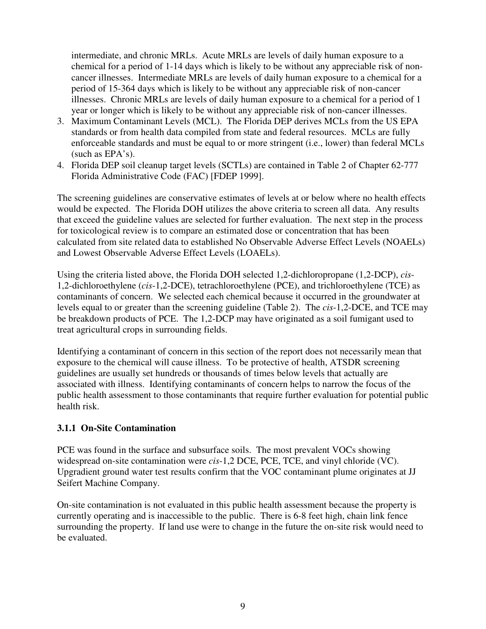intermediate, and chronic MRLs. Acute MRLs are levels of daily human exposure to a chemical for a period of 1-14 days which is likely to be without any appreciable risk of noncancer illnesses. Intermediate MRLs are levels of daily human exposure to a chemical for a period of 15-364 days which is likely to be without any appreciable risk of non-cancer illnesses. Chronic MRLs are levels of daily human exposure to a chemical for a period of 1 year or longer which is likely to be without any appreciable risk of non-cancer illnesses.

- 3. Maximum Contaminant Levels (MCL). The Florida DEP derives MCLs from the US EPA standards or from health data compiled from state and federal resources. MCLs are fully enforceable standards and must be equal to or more stringent (i.e., lower) than federal MCLs (such as EPA's).
- 4. Florida DEP soil cleanup target levels (SCTLs) are contained in Table 2 of Chapter 62-777 Florida Administrative Code (FAC) [FDEP 1999].

The screening guidelines are conservative estimates of levels at or below where no health effects would be expected. The Florida DOH utilizes the above criteria to screen all data. Any results that exceed the guideline values are selected for further evaluation. The next step in the process for toxicological review is to compare an estimated dose or concentration that has been calculated from site related data to established No Observable Adverse Effect Levels (NOAELs) and Lowest Observable Adverse Effect Levels (LOAELs).

Using the criteria listed above, the Florida DOH selected 1,2-dichloropropane (1,2-DCP), *cis*-1,2-dichloroethylene (*cis*-1,2-DCE), tetrachloroethylene (PCE), and trichloroethylene (TCE) as contaminants of concern. We selected each chemical because it occurred in the groundwater at levels equal to or greater than the screening guideline (Table 2). The *cis*-1,2-DCE, and TCE may be breakdown products of PCE. The 1,2-DCP may have originated as a soil fumigant used to treat agricultural crops in surrounding fields.

Identifying a contaminant of concern in this section of the report does not necessarily mean that exposure to the chemical will cause illness. To be protective of health, ATSDR screening guidelines are usually set hundreds or thousands of times below levels that actually are associated with illness. Identifying contaminants of concern helps to narrow the focus of the public health assessment to those contaminants that require further evaluation for potential public health risk.

## **3.1.1 On-Site Contamination**

PCE was found in the surface and subsurface soils. The most prevalent VOCs showing widespread on-site contamination were *cis*-1,2 DCE, PCE, TCE, and vinyl chloride (VC). Upgradient ground water test results confirm that the VOC contaminant plume originates at JJ Seifert Machine Company.

On-site contamination is not evaluated in this public health assessment because the property is currently operating and is inaccessible to the public. There is 6-8 feet high, chain link fence surrounding the property. If land use were to change in the future the on-site risk would need to be evaluated.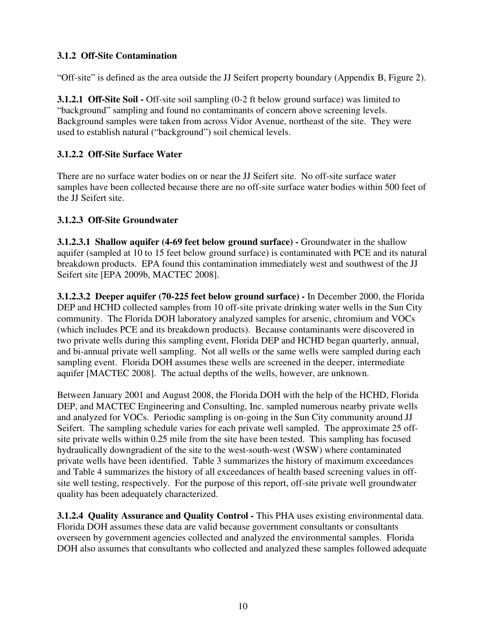## **3.1.2 Off-Site Contamination**

"Off-site" is defined as the area outside the JJ Seifert property boundary (Appendix B, Figure 2).

**3.1.2.1 Off-Site Soil -** Off-site soil sampling (0-2 ft below ground surface) was limited to "background" sampling and found no contaminants of concern above screening levels. Background samples were taken from across Vidor Avenue, northeast of the site. They were used to establish natural ("background") soil chemical levels.

## **3.1.2.2 Off-Site Surface Water**

There are no surface water bodies on or near the JJ Seifert site. No off-site surface water samples have been collected because there are no off-site surface water bodies within 500 feet of the JJ Seifert site.

## **3.1.2.3 Off-Site Groundwater**

**3.1.2.3.1 Shallow aquifer (4-69 feet below ground surface) - Groundwater in the shallow** aquifer (sampled at 10 to 15 feet below ground surface) is contaminated with PCE and its natural breakdown products. EPA found this contamination immediately west and southwest of the JJ Seifert site [EPA 2009b, MACTEC 2008].

**3.1.2.3.2 Deeper aquifer (70-225 feet below ground surface) -** In December 2000, the Florida DEP and HCHD collected samples from 10 off-site private drinking water wells in the Sun City community. The Florida DOH laboratory analyzed samples for arsenic, chromium and VOCs (which includes PCE and its breakdown products). Because contaminants were discovered in two private wells during this sampling event, Florida DEP and HCHD began quarterly, annual, and bi-annual private well sampling. Not all wells or the same wells were sampled during each sampling event. Florida DOH assumes these wells are screened in the deeper, intermediate aquifer [MACTEC 2008]. The actual depths of the wells, however, are unknown.

Between January 2001 and August 2008, the Florida DOH with the help of the HCHD, Florida DEP, and MACTEC Engineering and Consulting, Inc. sampled numerous nearby private wells and analyzed for VOCs. Periodic sampling is on-going in the Sun City community around JJ Seifert. The sampling schedule varies for each private well sampled. The approximate 25 offsite private wells within 0.25 mile from the site have been tested. This sampling has focused hydraulically downgradient of the site to the west-south-west (WSW) where contaminated private wells have been identified. Table 3 summarizes the history of maximum exceedances and Table 4 summarizes the history of all exceedances of health based screening values in offsite well testing, respectively. For the purpose of this report, off-site private well groundwater quality has been adequately characterized.

**3.1.2.4 Quality Assurance and Quality Control -** This PHA uses existing environmental data. Florida DOH assumes these data are valid because government consultants or consultants overseen by government agencies collected and analyzed the environmental samples. Florida DOH also assumes that consultants who collected and analyzed these samples followed adequate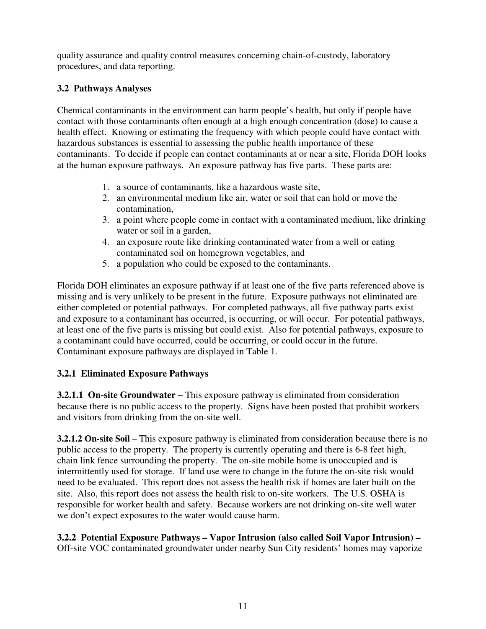quality assurance and quality control measures concerning chain-of-custody, laboratory procedures, and data reporting.

# **3.2 Pathways Analyses**

Chemical contaminants in the environment can harm people's health, but only if people have contact with those contaminants often enough at a high enough concentration (dose) to cause a health effect. Knowing or estimating the frequency with which people could have contact with hazardous substances is essential to assessing the public health importance of these contaminants. To decide if people can contact contaminants at or near a site, Florida DOH looks at the human exposure pathways. An exposure pathway has five parts. These parts are:

- 1. a source of contaminants, like a hazardous waste site,
- 2. an environmental medium like air, water or soil that can hold or move the contamination,
- 3. a point where people come in contact with a contaminated medium, like drinking water or soil in a garden,
- 4. an exposure route like drinking contaminated water from a well or eating contaminated soil on homegrown vegetables, and
- 5. a population who could be exposed to the contaminants.

Florida DOH eliminates an exposure pathway if at least one of the five parts referenced above is missing and is very unlikely to be present in the future. Exposure pathways not eliminated are either completed or potential pathways. For completed pathways, all five pathway parts exist and exposure to a contaminant has occurred, is occurring, or will occur. For potential pathways, at least one of the five parts is missing but could exist. Also for potential pathways, exposure to a contaminant could have occurred, could be occurring, or could occur in the future. Contaminant exposure pathways are displayed in Table 1.

# **3.2.1 Eliminated Exposure Pathways**

**3.2.1.1 On-site Groundwater – This exposure pathway is eliminated from consideration** because there is no public access to the property. Signs have been posted that prohibit workers and visitors from drinking from the on-site well.

**3.2.1.2 On-site Soil** – This exposure pathway is eliminated from consideration because there is no public access to the property. The property is currently operating and there is 6-8 feet high, chain link fence surrounding the property. The on-site mobile home is unoccupied and is intermittently used for storage. If land use were to change in the future the on-site risk would need to be evaluated. This report does not assess the health risk if homes are later built on the site. Also, this report does not assess the health risk to on-site workers. The U.S. OSHA is responsible for worker health and safety. Because workers are not drinking on-site well water we don't expect exposures to the water would cause harm.

**3.2.2 Potential Exposure Pathways – Vapor Intrusion (also called Soil Vapor Intrusion) –**  Off-site VOC contaminated groundwater under nearby Sun City residents' homes may vaporize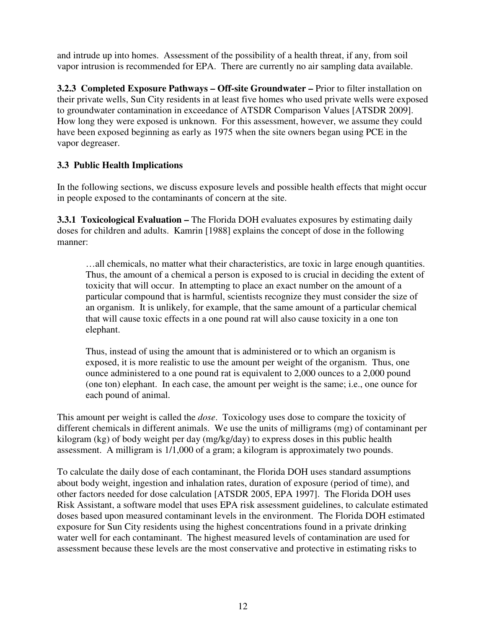and intrude up into homes. Assessment of the possibility of a health threat, if any, from soil vapor intrusion is recommended for EPA. There are currently no air sampling data available.

**3.2.3 Completed Exposure Pathways – Off-site Groundwater –** Prior to filter installation on their private wells, Sun City residents in at least five homes who used private wells were exposed to groundwater contamination in exceedance of ATSDR Comparison Values [ATSDR 2009]. How long they were exposed is unknown. For this assessment, however, we assume they could have been exposed beginning as early as 1975 when the site owners began using PCE in the vapor degreaser.

# **3.3 Public Health Implications**

In the following sections, we discuss exposure levels and possible health effects that might occur in people exposed to the contaminants of concern at the site.

**3.3.1 Toxicological Evaluation –** The Florida DOH evaluates exposures by estimating daily doses for children and adults. Kamrin [1988] explains the concept of dose in the following manner:

…all chemicals, no matter what their characteristics, are toxic in large enough quantities. Thus, the amount of a chemical a person is exposed to is crucial in deciding the extent of toxicity that will occur. In attempting to place an exact number on the amount of a particular compound that is harmful, scientists recognize they must consider the size of an organism. It is unlikely, for example, that the same amount of a particular chemical that will cause toxic effects in a one pound rat will also cause toxicity in a one ton elephant.

Thus, instead of using the amount that is administered or to which an organism is exposed, it is more realistic to use the amount per weight of the organism. Thus, one ounce administered to a one pound rat is equivalent to 2,000 ounces to a 2,000 pound (one ton) elephant. In each case, the amount per weight is the same; i.e., one ounce for each pound of animal.

This amount per weight is called the *dose*. Toxicology uses dose to compare the toxicity of different chemicals in different animals. We use the units of milligrams (mg) of contaminant per kilogram (kg) of body weight per day (mg/kg/day) to express doses in this public health assessment. A milligram is 1/1,000 of a gram; a kilogram is approximately two pounds.

To calculate the daily dose of each contaminant, the Florida DOH uses standard assumptions about body weight, ingestion and inhalation rates, duration of exposure (period of time), and other factors needed for dose calculation [ATSDR 2005, EPA 1997]. The Florida DOH uses Risk Assistant, a software model that uses EPA risk assessment guidelines, to calculate estimated doses based upon measured contaminant levels in the environment. The Florida DOH estimated exposure for Sun City residents using the highest concentrations found in a private drinking water well for each contaminant. The highest measured levels of contamination are used for assessment because these levels are the most conservative and protective in estimating risks to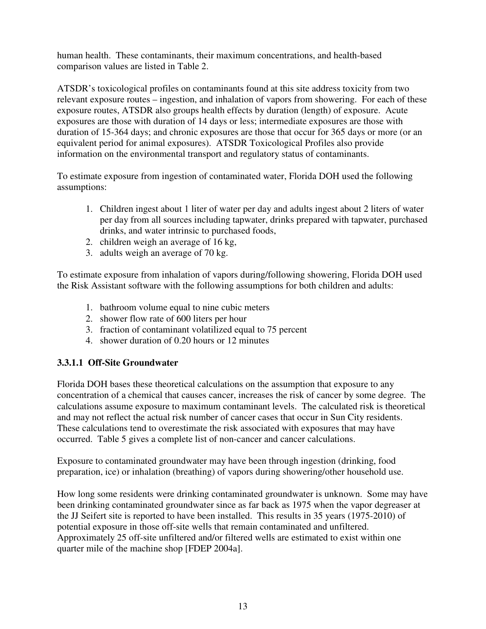human health. These contaminants, their maximum concentrations, and health-based comparison values are listed in Table 2.

ATSDR's toxicological profiles on contaminants found at this site address toxicity from two relevant exposure routes – ingestion, and inhalation of vapors from showering. For each of these exposure routes, ATSDR also groups health effects by duration (length) of exposure. Acute exposures are those with duration of 14 days or less; intermediate exposures are those with duration of 15-364 days; and chronic exposures are those that occur for 365 days or more (or an equivalent period for animal exposures). ATSDR Toxicological Profiles also provide information on the environmental transport and regulatory status of contaminants.

To estimate exposure from ingestion of contaminated water, Florida DOH used the following assumptions:

- 1. Children ingest about 1 liter of water per day and adults ingest about 2 liters of water per day from all sources including tapwater, drinks prepared with tapwater, purchased drinks, and water intrinsic to purchased foods,
- 2. children weigh an average of 16 kg,
- 3. adults weigh an average of 70 kg.

To estimate exposure from inhalation of vapors during/following showering, Florida DOH used the Risk Assistant software with the following assumptions for both children and adults:

- 1. bathroom volume equal to nine cubic meters
- 2. shower flow rate of 600 liters per hour
- 3. fraction of contaminant volatilized equal to 75 percent
- 4. shower duration of 0.20 hours or 12 minutes

## **3.3.1.1 Off-Site Groundwater**

Florida DOH bases these theoretical calculations on the assumption that exposure to any concentration of a chemical that causes cancer, increases the risk of cancer by some degree. The calculations assume exposure to maximum contaminant levels. The calculated risk is theoretical and may not reflect the actual risk number of cancer cases that occur in Sun City residents. These calculations tend to overestimate the risk associated with exposures that may have occurred. Table 5 gives a complete list of non-cancer and cancer calculations.

Exposure to contaminated groundwater may have been through ingestion (drinking, food preparation, ice) or inhalation (breathing) of vapors during showering/other household use.

How long some residents were drinking contaminated groundwater is unknown. Some may have been drinking contaminated groundwater since as far back as 1975 when the vapor degreaser at the JJ Seifert site is reported to have been installed. This results in 35 years (1975-2010) of potential exposure in those off-site wells that remain contaminated and unfiltered. Approximately 25 off-site unfiltered and/or filtered wells are estimated to exist within one quarter mile of the machine shop [FDEP 2004a].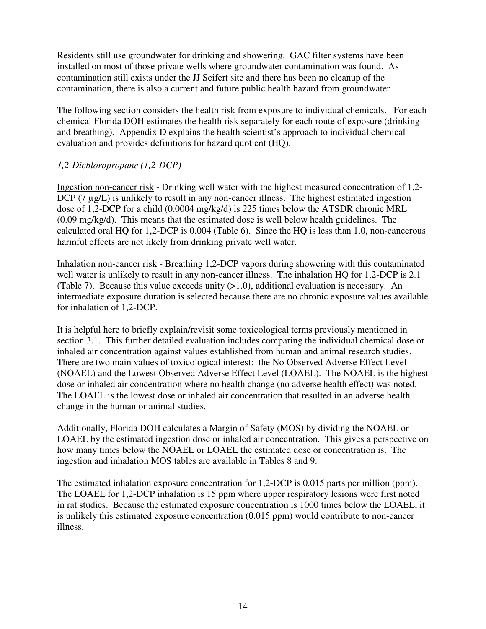Residents still use groundwater for drinking and showering. GAC filter systems have been installed on most of those private wells where groundwater contamination was found. As contamination still exists under the JJ Seifert site and there has been no cleanup of the contamination, there is also a current and future public health hazard from groundwater.

The following section considers the health risk from exposure to individual chemicals. For each chemical Florida DOH estimates the health risk separately for each route of exposure (drinking and breathing). Appendix D explains the health scientist's approach to individual chemical evaluation and provides definitions for hazard quotient (HQ).

## *1,2-Dichloropropane (1,2-DCP)*

Ingestion non-cancer risk - Drinking well water with the highest measured concentration of 1,2- DCP  $(7 \mu g/L)$  is unlikely to result in any non-cancer illness. The highest estimated ingestion dose of 1,2-DCP for a child (0.0004 mg/kg/d) is 225 times below the ATSDR chronic MRL (0.09 mg/kg/d). This means that the estimated dose is well below health guidelines. The calculated oral HQ for 1,2-DCP is 0.004 (Table 6). Since the HQ is less than 1.0, non-cancerous harmful effects are not likely from drinking private well water.

Inhalation non-cancer risk - Breathing 1,2-DCP vapors during showering with this contaminated well water is unlikely to result in any non-cancer illness. The inhalation HQ for 1,2-DCP is 2.1 (Table 7). Because this value exceeds unity  $(>1.0)$ , additional evaluation is necessary. An intermediate exposure duration is selected because there are no chronic exposure values available for inhalation of 1,2-DCP.

It is helpful here to briefly explain/revisit some toxicological terms previously mentioned in section 3.1. This further detailed evaluation includes comparing the individual chemical dose or inhaled air concentration against values established from human and animal research studies. There are two main values of toxicological interest: the No Observed Adverse Effect Level (NOAEL) and the Lowest Observed Adverse Effect Level (LOAEL). The NOAEL is the highest dose or inhaled air concentration where no health change (no adverse health effect) was noted. The LOAEL is the lowest dose or inhaled air concentration that resulted in an adverse health change in the human or animal studies.

Additionally, Florida DOH calculates a Margin of Safety (MOS) by dividing the NOAEL or LOAEL by the estimated ingestion dose or inhaled air concentration. This gives a perspective on how many times below the NOAEL or LOAEL the estimated dose or concentration is. The ingestion and inhalation MOS tables are available in Tables 8 and 9.

The estimated inhalation exposure concentration for 1,2-DCP is 0.015 parts per million (ppm). The LOAEL for 1,2-DCP inhalation is 15 ppm where upper respiratory lesions were first noted in rat studies. Because the estimated exposure concentration is 1000 times below the LOAEL, it is unlikely this estimated exposure concentration (0.015 ppm) would contribute to non-cancer illness.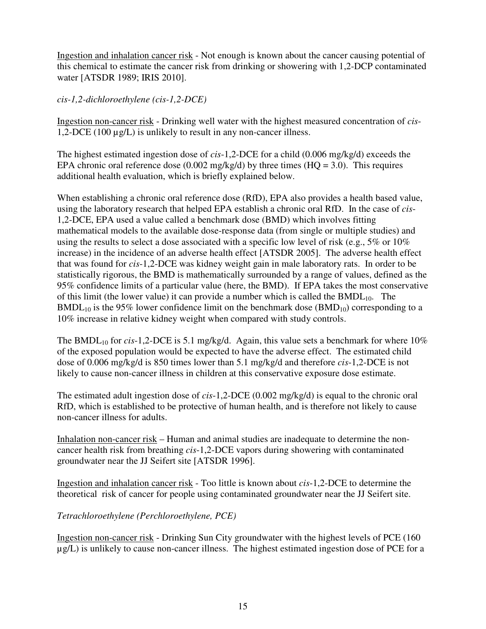Ingestion and inhalation cancer risk - Not enough is known about the cancer causing potential of this chemical to estimate the cancer risk from drinking or showering with 1,2-DCP contaminated water [ATSDR 1989; IRIS 2010].

*cis-1,2-dichloroethylene (cis-1,2-DCE)* 

Ingestion non-cancer risk - Drinking well water with the highest measured concentration of *cis*-1,2-DCE (100 µg/L) is unlikely to result in any non-cancer illness.

The highest estimated ingestion dose of *cis*-1,2-DCE for a child (0.006 mg/kg/d) exceeds the EPA chronic oral reference dose  $(0.002 \text{ mg/kg/d})$  by three times  $(HQ = 3.0)$ . This requires additional health evaluation, which is briefly explained below.

When establishing a chronic oral reference dose (RfD), EPA also provides a health based value, using the laboratory research that helped EPA establish a chronic oral RfD. In the case of *cis*-1,2-DCE, EPA used a value called a benchmark dose (BMD) which involves fitting mathematical models to the available dose-response data (from single or multiple studies) and using the results to select a dose associated with a specific low level of risk (e.g., 5% or 10% increase) in the incidence of an adverse health effect [ATSDR 2005]. The adverse health effect that was found for *cis*-1,2-DCE was kidney weight gain in male laboratory rats. In order to be statistically rigorous, the BMD is mathematically surrounded by a range of values, defined as the 95% confidence limits of a particular value (here, the BMD). If EPA takes the most conservative of this limit (the lower value) it can provide a number which is called the  $BMDL_{10}$ . The  $BMDL_{10}$  is the 95% lower confidence limit on the benchmark dose  $(BMD_{10})$  corresponding to a 10% increase in relative kidney weight when compared with study controls.

The BMDL<sub>10</sub> for *cis*-1,2-DCE is 5.1 mg/kg/d. Again, this value sets a benchmark for where 10% of the exposed population would be expected to have the adverse effect. The estimated child dose of 0.006 mg/kg/d is 850 times lower than 5.1 mg/kg/d and therefore *cis*-1,2-DCE is not likely to cause non-cancer illness in children at this conservative exposure dose estimate.

The estimated adult ingestion dose of *cis*-1,2-DCE (0.002 mg/kg/d) is equal to the chronic oral RfD, which is established to be protective of human health, and is therefore not likely to cause non-cancer illness for adults.

Inhalation non-cancer risk – Human and animal studies are inadequate to determine the noncancer health risk from breathing *cis*-1,2-DCE vapors during showering with contaminated groundwater near the JJ Seifert site [ATSDR 1996].

Ingestion and inhalation cancer risk - Too little is known about *cis*-1,2-DCE to determine the theoretical risk of cancer for people using contaminated groundwater near the JJ Seifert site.

## *Tetrachloroethylene (Perchloroethylene, PCE)*

Ingestion non-cancer risk - Drinking Sun City groundwater with the highest levels of PCE (160 µg/L) is unlikely to cause non-cancer illness. The highest estimated ingestion dose of PCE for a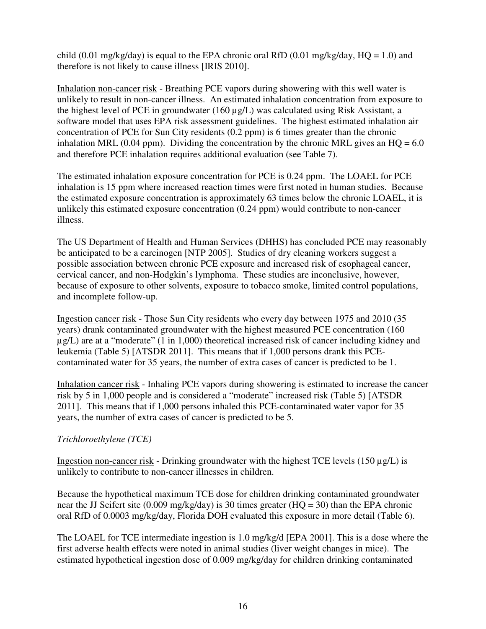child (0.01 mg/kg/day) is equal to the EPA chronic oral RfD (0.01 mg/kg/day,  $HQ = 1.0$ ) and therefore is not likely to cause illness [IRIS 2010].

Inhalation non-cancer risk - Breathing PCE vapors during showering with this well water is unlikely to result in non-cancer illness. An estimated inhalation concentration from exposure to the highest level of PCE in groundwater (160 µg/L) was calculated using Risk Assistant, a software model that uses EPA risk assessment guidelines. The highest estimated inhalation air concentration of PCE for Sun City residents (0.2 ppm) is 6 times greater than the chronic inhalation MRL (0.04 ppm). Dividing the concentration by the chronic MRL gives an  $HQ = 6.0$ and therefore PCE inhalation requires additional evaluation (see Table 7).

The estimated inhalation exposure concentration for PCE is 0.24 ppm. The LOAEL for PCE inhalation is 15 ppm where increased reaction times were first noted in human studies. Because the estimated exposure concentration is approximately 63 times below the chronic LOAEL, it is unlikely this estimated exposure concentration (0.24 ppm) would contribute to non-cancer illness.

The US Department of Health and Human Services (DHHS) has concluded PCE may reasonably be anticipated to be a carcinogen [NTP 2005]. Studies of dry cleaning workers suggest a possible association between chronic PCE exposure and increased risk of esophageal cancer, cervical cancer, and non-Hodgkin's lymphoma. These studies are inconclusive, however, because of exposure to other solvents, exposure to tobacco smoke, limited control populations, and incomplete follow-up.

Ingestion cancer risk - Those Sun City residents who every day between 1975 and 2010 (35 years) drank contaminated groundwater with the highest measured PCE concentration (160 µg/L) are at a "moderate" (1 in 1,000) theoretical increased risk of cancer including kidney and leukemia (Table 5) [ATSDR 2011]. This means that if 1,000 persons drank this PCEcontaminated water for 35 years, the number of extra cases of cancer is predicted to be 1.

Inhalation cancer risk - Inhaling PCE vapors during showering is estimated to increase the cancer risk by 5 in 1,000 people and is considered a "moderate" increased risk (Table 5) [ATSDR 2011]. This means that if 1,000 persons inhaled this PCE-contaminated water vapor for 35 years, the number of extra cases of cancer is predicted to be 5.

## *Trichloroethylene (TCE)*

Ingestion non-cancer risk - Drinking groundwater with the highest TCE levels  $(150 \mu g/L)$  is unlikely to contribute to non-cancer illnesses in children.

Because the hypothetical maximum TCE dose for children drinking contaminated groundwater near the JJ Seifert site (0.009 mg/kg/day) is 30 times greater (HQ = 30) than the EPA chronic oral RfD of 0.0003 mg/kg/day, Florida DOH evaluated this exposure in more detail (Table 6).

The LOAEL for TCE intermediate ingestion is 1.0 mg/kg/d [EPA 2001]. This is a dose where the first adverse health effects were noted in animal studies (liver weight changes in mice). The estimated hypothetical ingestion dose of 0.009 mg/kg/day for children drinking contaminated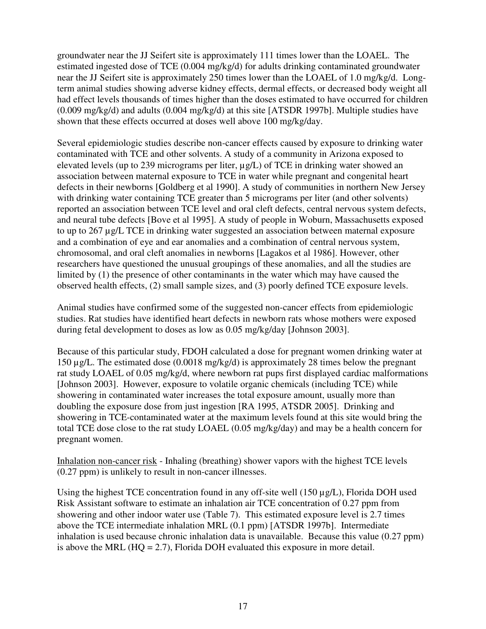groundwater near the JJ Seifert site is approximately 111 times lower than the LOAEL. The estimated ingested dose of TCE (0.004 mg/kg/d) for adults drinking contaminated groundwater near the JJ Seifert site is approximately 250 times lower than the LOAEL of 1.0 mg/kg/d. Longterm animal studies showing adverse kidney effects, dermal effects, or decreased body weight all had effect levels thousands of times higher than the doses estimated to have occurred for children (0.009 mg/kg/d) and adults (0.004 mg/kg/d) at this site [ATSDR 1997b]. Multiple studies have shown that these effects occurred at doses well above 100 mg/kg/day.

Several epidemiologic studies describe non-cancer effects caused by exposure to drinking water contaminated with TCE and other solvents. A study of a community in Arizona exposed to elevated levels (up to 239 micrograms per liter, µg/L) of TCE in drinking water showed an association between maternal exposure to TCE in water while pregnant and congenital heart defects in their newborns [Goldberg et al 1990]. A study of communities in northern New Jersey with drinking water containing TCE greater than 5 micrograms per liter (and other solvents) reported an association between TCE level and oral cleft defects, central nervous system defects, and neural tube defects [Bove et al 1995]. A study of people in Woburn, Massachusetts exposed to up to 267 µg/L TCE in drinking water suggested an association between maternal exposure and a combination of eye and ear anomalies and a combination of central nervous system, chromosomal, and oral cleft anomalies in newborns [Lagakos et al 1986]. However, other researchers have questioned the unusual groupings of these anomalies, and all the studies are limited by (1) the presence of other contaminants in the water which may have caused the observed health effects, (2) small sample sizes, and (3) poorly defined TCE exposure levels.

Animal studies have confirmed some of the suggested non-cancer effects from epidemiologic studies. Rat studies have identified heart defects in newborn rats whose mothers were exposed during fetal development to doses as low as 0.05 mg/kg/day [Johnson 2003].

Because of this particular study, FDOH calculated a dose for pregnant women drinking water at 150 µg/L. The estimated dose (0.0018 mg/kg/d) is approximately 28 times below the pregnant rat study LOAEL of 0.05 mg/kg/d, where newborn rat pups first displayed cardiac malformations [Johnson 2003]. However, exposure to volatile organic chemicals (including TCE) while showering in contaminated water increases the total exposure amount, usually more than doubling the exposure dose from just ingestion [RA 1995, ATSDR 2005]. Drinking and showering in TCE-contaminated water at the maximum levels found at this site would bring the total TCE dose close to the rat study LOAEL (0.05 mg/kg/day) and may be a health concern for pregnant women.

Inhalation non-cancer risk - Inhaling (breathing) shower vapors with the highest TCE levels (0.27 ppm) is unlikely to result in non-cancer illnesses.

Using the highest TCE concentration found in any off-site well (150  $\mu$ g/L), Florida DOH used Risk Assistant software to estimate an inhalation air TCE concentration of 0.27 ppm from showering and other indoor water use (Table 7). This estimated exposure level is 2.7 times above the TCE intermediate inhalation MRL (0.1 ppm) [ATSDR 1997b]. Intermediate inhalation is used because chronic inhalation data is unavailable. Because this value (0.27 ppm) is above the MRL ( $HQ = 2.7$ ), Florida DOH evaluated this exposure in more detail.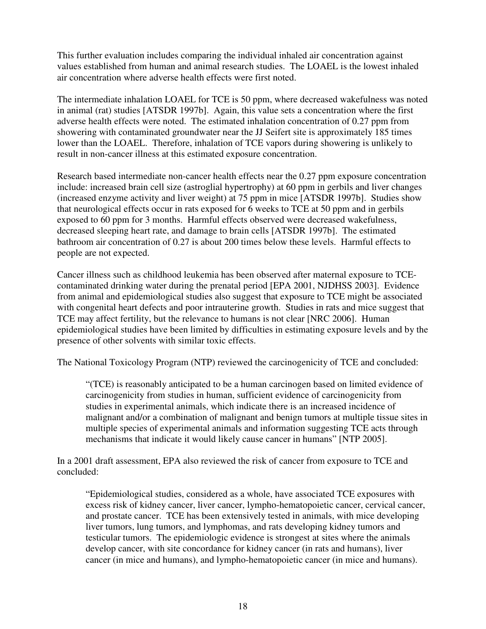This further evaluation includes comparing the individual inhaled air concentration against values established from human and animal research studies. The LOAEL is the lowest inhaled air concentration where adverse health effects were first noted.

The intermediate inhalation LOAEL for TCE is 50 ppm, where decreased wakefulness was noted in animal (rat) studies [ATSDR 1997b]. Again, this value sets a concentration where the first adverse health effects were noted. The estimated inhalation concentration of 0.27 ppm from showering with contaminated groundwater near the JJ Seifert site is approximately 185 times lower than the LOAEL. Therefore, inhalation of TCE vapors during showering is unlikely to result in non-cancer illness at this estimated exposure concentration.

Research based intermediate non-cancer health effects near the 0.27 ppm exposure concentration include: increased brain cell size (astroglial hypertrophy) at 60 ppm in gerbils and liver changes (increased enzyme activity and liver weight) at 75 ppm in mice [ATSDR 1997b]. Studies show that neurological effects occur in rats exposed for 6 weeks to TCE at 50 ppm and in gerbils exposed to 60 ppm for 3 months. Harmful effects observed were decreased wakefulness, decreased sleeping heart rate, and damage to brain cells [ATSDR 1997b]. The estimated bathroom air concentration of 0.27 is about 200 times below these levels. Harmful effects to people are not expected.

Cancer illness such as childhood leukemia has been observed after maternal exposure to TCEcontaminated drinking water during the prenatal period [EPA 2001, NJDHSS 2003]. Evidence from animal and epidemiological studies also suggest that exposure to TCE might be associated with congenital heart defects and poor intrauterine growth. Studies in rats and mice suggest that TCE may affect fertility, but the relevance to humans is not clear [NRC 2006]. Human epidemiological studies have been limited by difficulties in estimating exposure levels and by the presence of other solvents with similar toxic effects.

The National Toxicology Program (NTP) reviewed the carcinogenicity of TCE and concluded:

"(TCE) is reasonably anticipated to be a human carcinogen based on limited evidence of carcinogenicity from studies in human, sufficient evidence of carcinogenicity from studies in experimental animals, which indicate there is an increased incidence of malignant and/or a combination of malignant and benign tumors at multiple tissue sites in multiple species of experimental animals and information suggesting TCE acts through mechanisms that indicate it would likely cause cancer in humans" [NTP 2005].

In a 2001 draft assessment, EPA also reviewed the risk of cancer from exposure to TCE and concluded:

"Epidemiological studies, considered as a whole, have associated TCE exposures with excess risk of kidney cancer, liver cancer, lympho-hematopoietic cancer, cervical cancer, and prostate cancer. TCE has been extensively tested in animals, with mice developing liver tumors, lung tumors, and lymphomas, and rats developing kidney tumors and testicular tumors. The epidemiologic evidence is strongest at sites where the animals develop cancer, with site concordance for kidney cancer (in rats and humans), liver cancer (in mice and humans), and lympho-hematopoietic cancer (in mice and humans).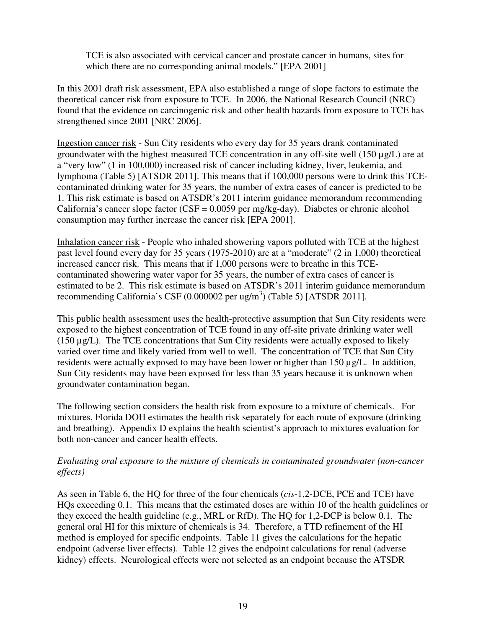TCE is also associated with cervical cancer and prostate cancer in humans, sites for which there are no corresponding animal models." [EPA 2001]

In this 2001 draft risk assessment, EPA also established a range of slope factors to estimate the theoretical cancer risk from exposure to TCE. In 2006, the National Research Council (NRC) found that the evidence on carcinogenic risk and other health hazards from exposure to TCE has strengthened since 2001 [NRC 2006].

Ingestion cancer risk - Sun City residents who every day for 35 years drank contaminated groundwater with the highest measured TCE concentration in any off-site well (150 µg/L) are at a "very low" (1 in 100,000) increased risk of cancer including kidney, liver, leukemia, and lymphoma (Table 5) [ATSDR 2011]. This means that if 100,000 persons were to drink this TCEcontaminated drinking water for 35 years, the number of extra cases of cancer is predicted to be 1. This risk estimate is based on ATSDR's 2011 interim guidance memorandum recommending California's cancer slope factor (CSF = 0.0059 per mg/kg-day). Diabetes or chronic alcohol consumption may further increase the cancer risk [EPA 2001].

Inhalation cancer risk - People who inhaled showering vapors polluted with TCE at the highest past level found every day for 35 years (1975-2010) are at a "moderate" (2 in 1,000) theoretical increased cancer risk. This means that if 1,000 persons were to breathe in this TCEcontaminated showering water vapor for 35 years, the number of extra cases of cancer is estimated to be 2. This risk estimate is based on ATSDR's 2011 interim guidance memorandum recommending California's CSF  $(0.000002 \text{ per ug/m}^3)$  (Table 5) [ATSDR 2011].

This public health assessment uses the health-protective assumption that Sun City residents were exposed to the highest concentration of TCE found in any off-site private drinking water well (150 µg/L). The TCE concentrations that Sun City residents were actually exposed to likely varied over time and likely varied from well to well. The concentration of TCE that Sun City residents were actually exposed to may have been lower or higher than 150 µg/L. In addition, Sun City residents may have been exposed for less than 35 years because it is unknown when groundwater contamination began.

The following section considers the health risk from exposure to a mixture of chemicals. For mixtures, Florida DOH estimates the health risk separately for each route of exposure (drinking and breathing). Appendix D explains the health scientist's approach to mixtures evaluation for both non-cancer and cancer health effects.

## *Evaluating oral exposure to the mixture of chemicals in contaminated groundwater (non-cancer effects)*

As seen in Table 6, the HQ for three of the four chemicals (*cis*-1,2-DCE, PCE and TCE) have HQs exceeding 0.1. This means that the estimated doses are within 10 of the health guidelines or they exceed the health guideline (e.g., MRL or RfD). The HQ for 1,2-DCP is below 0.1. The general oral HI for this mixture of chemicals is 34. Therefore, a TTD refinement of the HI method is employed for specific endpoints. Table 11 gives the calculations for the hepatic endpoint (adverse liver effects). Table 12 gives the endpoint calculations for renal (adverse kidney) effects. Neurological effects were not selected as an endpoint because the ATSDR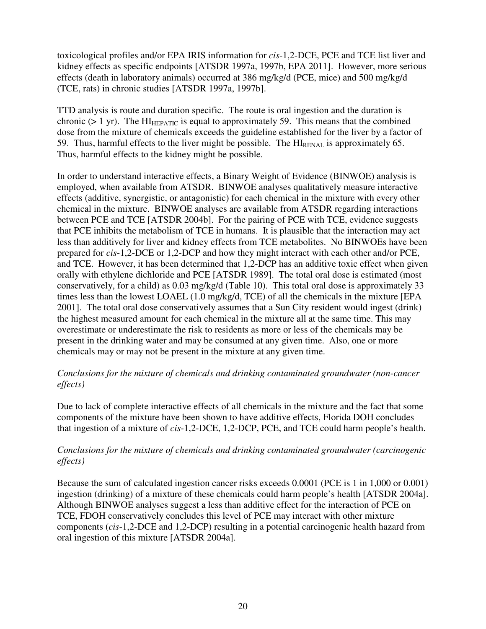toxicological profiles and/or EPA IRIS information for *cis*-1,2-DCE, PCE and TCE list liver and kidney effects as specific endpoints [ATSDR 1997a, 1997b, EPA 2011]. However, more serious effects (death in laboratory animals) occurred at 386 mg/kg/d (PCE, mice) and 500 mg/kg/d (TCE, rats) in chronic studies [ATSDR 1997a, 1997b].

TTD analysis is route and duration specific. The route is oral ingestion and the duration is chronic ( $> 1$  yr). The HI<sub>HEPATIC</sub> is equal to approximately 59. This means that the combined dose from the mixture of chemicals exceeds the guideline established for the liver by a factor of 59. Thus, harmful effects to the liver might be possible. The HI<sub>RENAL</sub> is approximately 65. Thus, harmful effects to the kidney might be possible.

In order to understand interactive effects, a Binary Weight of Evidence (BINWOE) analysis is employed, when available from ATSDR. BINWOE analyses qualitatively measure interactive effects (additive, synergistic, or antagonistic) for each chemical in the mixture with every other chemical in the mixture. BINWOE analyses are available from ATSDR regarding interactions between PCE and TCE [ATSDR 2004b]. For the pairing of PCE with TCE, evidence suggests that PCE inhibits the metabolism of TCE in humans. It is plausible that the interaction may act less than additively for liver and kidney effects from TCE metabolites. No BINWOEs have been prepared for *cis*-1,2-DCE or 1,2-DCP and how they might interact with each other and/or PCE, and TCE. However, it has been determined that 1,2-DCP has an additive toxic effect when given orally with ethylene dichloride and PCE [ATSDR 1989]. The total oral dose is estimated (most conservatively, for a child) as 0.03 mg/kg/d (Table 10). This total oral dose is approximately 33 times less than the lowest LOAEL (1.0 mg/kg/d, TCE) of all the chemicals in the mixture [EPA 2001]. The total oral dose conservatively assumes that a Sun City resident would ingest (drink) the highest measured amount for each chemical in the mixture all at the same time. This may overestimate or underestimate the risk to residents as more or less of the chemicals may be present in the drinking water and may be consumed at any given time. Also, one or more chemicals may or may not be present in the mixture at any given time.

#### *Conclusions for the mixture of chemicals and drinking contaminated groundwater (non-cancer effects)*

Due to lack of complete interactive effects of all chemicals in the mixture and the fact that some components of the mixture have been shown to have additive effects, Florida DOH concludes that ingestion of a mixture of *cis*-1,2-DCE, 1,2-DCP, PCE, and TCE could harm people's health.

## *Conclusions for the mixture of chemicals and drinking contaminated groundwater (carcinogenic effects)*

Because the sum of calculated ingestion cancer risks exceeds 0.0001 (PCE is 1 in 1,000 or 0.001) ingestion (drinking) of a mixture of these chemicals could harm people's health [ATSDR 2004a]. Although BINWOE analyses suggest a less than additive effect for the interaction of PCE on TCE, FDOH conservatively concludes this level of PCE may interact with other mixture components (*cis*-1,2-DCE and 1,2-DCP) resulting in a potential carcinogenic health hazard from oral ingestion of this mixture [ATSDR 2004a].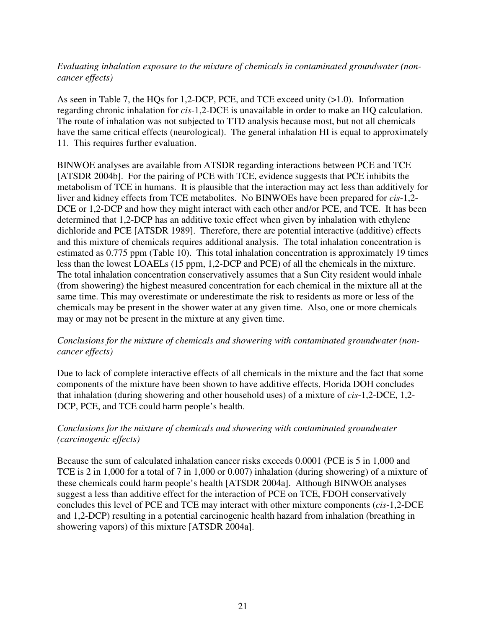*Evaluating inhalation exposure to the mixture of chemicals in contaminated groundwater (noncancer effects)* 

As seen in Table 7, the HQs for 1,2-DCP, PCE, and TCE exceed unity (>1.0). Information regarding chronic inhalation for *cis*-1,2-DCE is unavailable in order to make an HQ calculation. The route of inhalation was not subjected to TTD analysis because most, but not all chemicals have the same critical effects (neurological). The general inhalation HI is equal to approximately 11. This requires further evaluation.

BINWOE analyses are available from ATSDR regarding interactions between PCE and TCE [ATSDR 2004b]. For the pairing of PCE with TCE, evidence suggests that PCE inhibits the metabolism of TCE in humans. It is plausible that the interaction may act less than additively for liver and kidney effects from TCE metabolites. No BINWOEs have been prepared for *cis*-1,2- DCE or 1,2-DCP and how they might interact with each other and/or PCE, and TCE. It has been determined that 1,2-DCP has an additive toxic effect when given by inhalation with ethylene dichloride and PCE [ATSDR 1989]. Therefore, there are potential interactive (additive) effects and this mixture of chemicals requires additional analysis. The total inhalation concentration is estimated as 0.775 ppm (Table 10). This total inhalation concentration is approximately 19 times less than the lowest LOAELs (15 ppm, 1,2-DCP and PCE) of all the chemicals in the mixture. The total inhalation concentration conservatively assumes that a Sun City resident would inhale (from showering) the highest measured concentration for each chemical in the mixture all at the same time. This may overestimate or underestimate the risk to residents as more or less of the chemicals may be present in the shower water at any given time. Also, one or more chemicals may or may not be present in the mixture at any given time.

#### *Conclusions for the mixture of chemicals and showering with contaminated groundwater (noncancer effects)*

Due to lack of complete interactive effects of all chemicals in the mixture and the fact that some components of the mixture have been shown to have additive effects, Florida DOH concludes that inhalation (during showering and other household uses) of a mixture of *cis*-1,2-DCE, 1,2- DCP, PCE, and TCE could harm people's health.

## *Conclusions for the mixture of chemicals and showering with contaminated groundwater (carcinogenic effects)*

Because the sum of calculated inhalation cancer risks exceeds 0.0001 (PCE is 5 in 1,000 and TCE is 2 in 1,000 for a total of 7 in 1,000 or 0.007) inhalation (during showering) of a mixture of these chemicals could harm people's health [ATSDR 2004a]. Although BINWOE analyses suggest a less than additive effect for the interaction of PCE on TCE, FDOH conservatively concludes this level of PCE and TCE may interact with other mixture components (*cis*-1,2-DCE and 1,2-DCP) resulting in a potential carcinogenic health hazard from inhalation (breathing in showering vapors) of this mixture [ATSDR 2004a].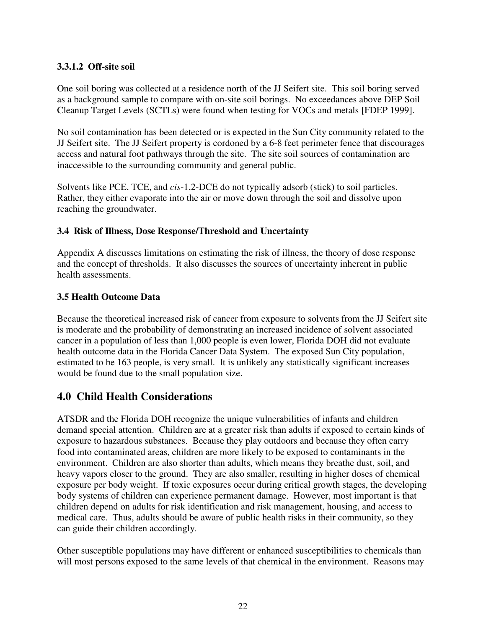## **3.3.1.2 Off-site soil**

One soil boring was collected at a residence north of the JJ Seifert site. This soil boring served as a background sample to compare with on-site soil borings. No exceedances above DEP Soil Cleanup Target Levels (SCTLs) were found when testing for VOCs and metals [FDEP 1999].

No soil contamination has been detected or is expected in the Sun City community related to the JJ Seifert site. The JJ Seifert property is cordoned by a 6-8 feet perimeter fence that discourages access and natural foot pathways through the site. The site soil sources of contamination are inaccessible to the surrounding community and general public.

Solvents like PCE, TCE, and *cis*-1,2-DCE do not typically adsorb (stick) to soil particles. Rather, they either evaporate into the air or move down through the soil and dissolve upon reaching the groundwater.

#### **3.4 Risk of Illness, Dose Response/Threshold and Uncertainty**

Appendix A discusses limitations on estimating the risk of illness, the theory of dose response and the concept of thresholds. It also discusses the sources of uncertainty inherent in public health assessments.

#### **3.5 Health Outcome Data**

Because the theoretical increased risk of cancer from exposure to solvents from the JJ Seifert site is moderate and the probability of demonstrating an increased incidence of solvent associated cancer in a population of less than 1,000 people is even lower, Florida DOH did not evaluate health outcome data in the Florida Cancer Data System. The exposed Sun City population, estimated to be 163 people, is very small. It is unlikely any statistically significant increases would be found due to the small population size.

# **4.0 Child Health Considerations**

ATSDR and the Florida DOH recognize the unique vulnerabilities of infants and children demand special attention. Children are at a greater risk than adults if exposed to certain kinds of exposure to hazardous substances. Because they play outdoors and because they often carry food into contaminated areas, children are more likely to be exposed to contaminants in the environment. Children are also shorter than adults, which means they breathe dust, soil, and heavy vapors closer to the ground. They are also smaller, resulting in higher doses of chemical exposure per body weight. If toxic exposures occur during critical growth stages, the developing body systems of children can experience permanent damage. However, most important is that children depend on adults for risk identification and risk management, housing, and access to medical care. Thus, adults should be aware of public health risks in their community, so they can guide their children accordingly.

Other susceptible populations may have different or enhanced susceptibilities to chemicals than will most persons exposed to the same levels of that chemical in the environment. Reasons may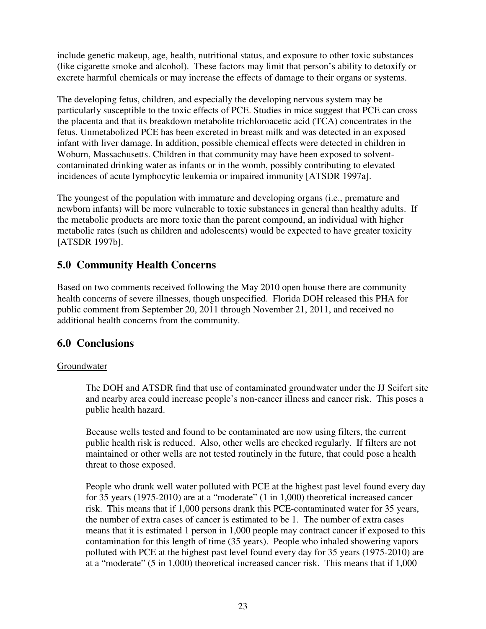include genetic makeup, age, health, nutritional status, and exposure to other toxic substances (like cigarette smoke and alcohol). These factors may limit that person's ability to detoxify or excrete harmful chemicals or may increase the effects of damage to their organs or systems.

The developing fetus, children, and especially the developing nervous system may be particularly susceptible to the toxic effects of PCE. Studies in mice suggest that PCE can cross the placenta and that its breakdown metabolite trichloroacetic acid (TCA) concentrates in the fetus. Unmetabolized PCE has been excreted in breast milk and was detected in an exposed infant with liver damage. In addition, possible chemical effects were detected in children in Woburn, Massachusetts. Children in that community may have been exposed to solventcontaminated drinking water as infants or in the womb, possibly contributing to elevated incidences of acute lymphocytic leukemia or impaired immunity [ATSDR 1997a].

The youngest of the population with immature and developing organs (i.e., premature and newborn infants) will be more vulnerable to toxic substances in general than healthy adults. If the metabolic products are more toxic than the parent compound, an individual with higher metabolic rates (such as children and adolescents) would be expected to have greater toxicity [ATSDR 1997b].

# **5.0 Community Health Concerns**

Based on two comments received following the May 2010 open house there are community health concerns of severe illnesses, though unspecified. Florida DOH released this PHA for public comment from September 20, 2011 through November 21, 2011, and received no additional health concerns from the community.

# **6.0 Conclusions**

## Groundwater

The DOH and ATSDR find that use of contaminated groundwater under the JJ Seifert site and nearby area could increase people's non-cancer illness and cancer risk. This poses a public health hazard.

Because wells tested and found to be contaminated are now using filters, the current public health risk is reduced. Also, other wells are checked regularly. If filters are not maintained or other wells are not tested routinely in the future, that could pose a health threat to those exposed.

People who drank well water polluted with PCE at the highest past level found every day for 35 years (1975-2010) are at a "moderate" (1 in 1,000) theoretical increased cancer risk. This means that if 1,000 persons drank this PCE-contaminated water for 35 years, the number of extra cases of cancer is estimated to be 1. The number of extra cases means that it is estimated 1 person in 1,000 people may contract cancer if exposed to this contamination for this length of time (35 years). People who inhaled showering vapors polluted with PCE at the highest past level found every day for 35 years (1975-2010) are at a "moderate" (5 in 1,000) theoretical increased cancer risk. This means that if 1,000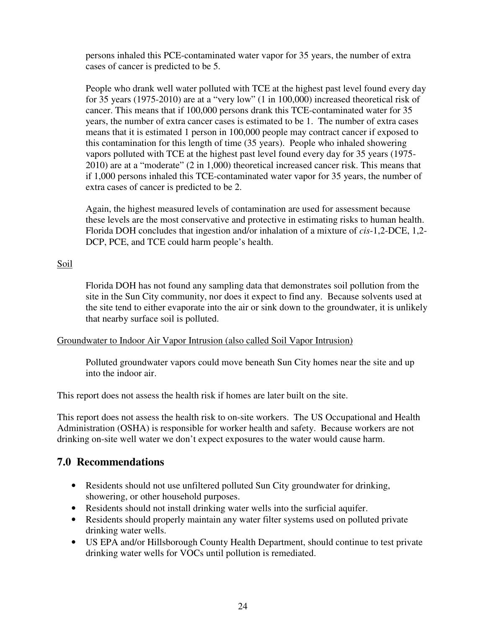persons inhaled this PCE-contaminated water vapor for 35 years, the number of extra cases of cancer is predicted to be 5.

People who drank well water polluted with TCE at the highest past level found every day for 35 years (1975-2010) are at a "very low" (1 in 100,000) increased theoretical risk of cancer. This means that if 100,000 persons drank this TCE-contaminated water for 35 years, the number of extra cancer cases is estimated to be 1. The number of extra cases means that it is estimated 1 person in 100,000 people may contract cancer if exposed to this contamination for this length of time (35 years). People who inhaled showering vapors polluted with TCE at the highest past level found every day for 35 years (1975- 2010) are at a "moderate" (2 in 1,000) theoretical increased cancer risk. This means that if 1,000 persons inhaled this TCE-contaminated water vapor for 35 years, the number of extra cases of cancer is predicted to be 2.

Again, the highest measured levels of contamination are used for assessment because these levels are the most conservative and protective in estimating risks to human health. Florida DOH concludes that ingestion and/or inhalation of a mixture of *cis*-1,2-DCE, 1,2- DCP, PCE, and TCE could harm people's health.

## Soil

Florida DOH has not found any sampling data that demonstrates soil pollution from the site in the Sun City community, nor does it expect to find any. Because solvents used at the site tend to either evaporate into the air or sink down to the groundwater, it is unlikely that nearby surface soil is polluted.

## Groundwater to Indoor Air Vapor Intrusion (also called Soil Vapor Intrusion)

Polluted groundwater vapors could move beneath Sun City homes near the site and up into the indoor air.

This report does not assess the health risk if homes are later built on the site.

This report does not assess the health risk to on-site workers. The US Occupational and Health Administration (OSHA) is responsible for worker health and safety. Because workers are not drinking on-site well water we don't expect exposures to the water would cause harm.

# **7.0 Recommendations**

- Residents should not use unfiltered polluted Sun City groundwater for drinking, showering, or other household purposes.
- Residents should not install drinking water wells into the surficial aquifer.
- Residents should properly maintain any water filter systems used on polluted private drinking water wells.
- US EPA and/or Hillsborough County Health Department, should continue to test private drinking water wells for VOCs until pollution is remediated.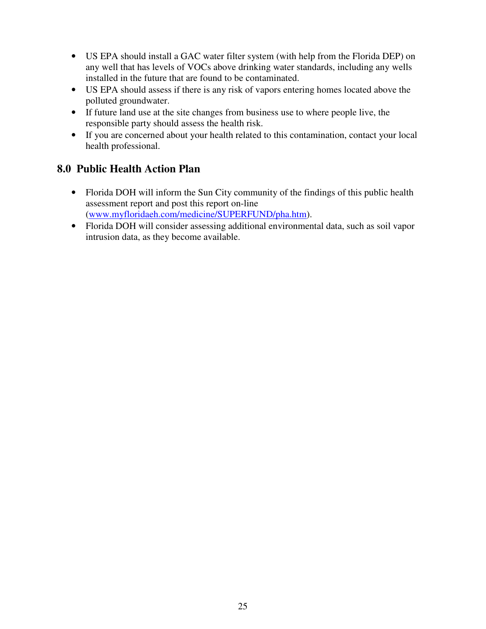- US EPA should install a GAC water filter system (with help from the Florida DEP) on any well that has levels of VOCs above drinking water standards, including any wells installed in the future that are found to be contaminated.
- US EPA should assess if there is any risk of vapors entering homes located above the polluted groundwater.
- If future land use at the site changes from business use to where people live, the responsible party should assess the health risk.
- If you are concerned about your health related to this contamination, contact your local health professional.

# **8.0 Public Health Action Plan**

- Florida DOH will inform the Sun City community of the findings of this public health assessment report and post this report on-line (www.myfloridaeh.com/medicine/SUPERFUND/pha.htm).
- Florida DOH will consider assessing additional environmental data, such as soil vapor intrusion data, as they become available.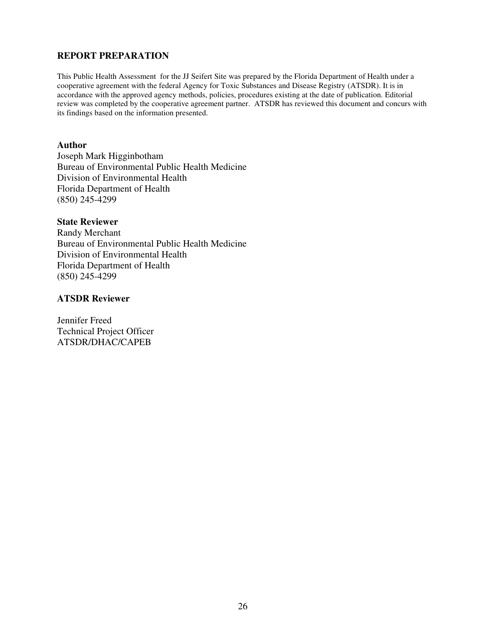#### **REPORT PREPARATION**

This Public Health Assessment for the JJ Seifert Site was prepared by the Florida Department of Health under a cooperative agreement with the federal Agency for Toxic Substances and Disease Registry (ATSDR). It is in accordance with the approved agency methods, policies, procedures existing at the date of publication. Editorial review was completed by the cooperative agreement partner. ATSDR has reviewed this document and concurs with its findings based on the information presented.

#### **Author**

Joseph Mark Higginbotham Bureau of Environmental Public Health Medicine Division of Environmental Health Florida Department of Health (850) 245-4299

#### **State Reviewer**

Randy Merchant Bureau of Environmental Public Health Medicine Division of Environmental Health Florida Department of Health (850) 245-4299

#### **ATSDR Reviewer**

Jennifer Freed Technical Project Officer ATSDR/DHAC/CAPEB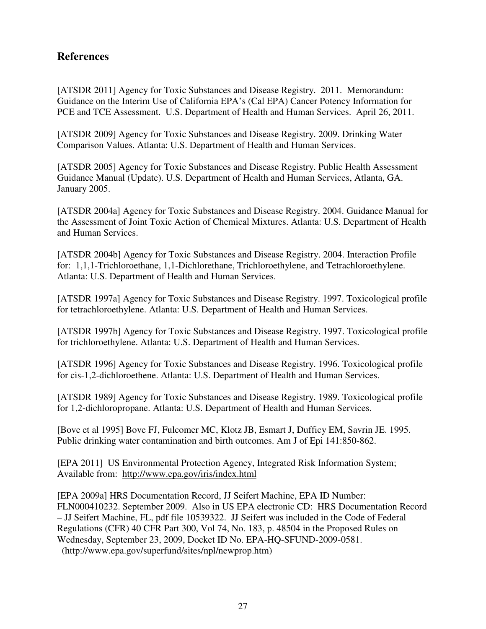# **References**

[ATSDR 2011] Agency for Toxic Substances and Disease Registry. 2011. Memorandum: Guidance on the Interim Use of California EPA's (Cal EPA) Cancer Potency Information for PCE and TCE Assessment. U.S. Department of Health and Human Services. April 26, 2011.

[ATSDR 2009] Agency for Toxic Substances and Disease Registry. 2009. Drinking Water Comparison Values. Atlanta: U.S. Department of Health and Human Services.

[ATSDR 2005] Agency for Toxic Substances and Disease Registry. Public Health Assessment Guidance Manual (Update). U.S. Department of Health and Human Services, Atlanta, GA. January 2005.

[ATSDR 2004a] Agency for Toxic Substances and Disease Registry. 2004. Guidance Manual for the Assessment of Joint Toxic Action of Chemical Mixtures. Atlanta: U.S. Department of Health and Human Services.

[ATSDR 2004b] Agency for Toxic Substances and Disease Registry. 2004. Interaction Profile for: 1,1,1-Trichloroethane, 1,1-Dichlorethane, Trichloroethylene, and Tetrachloroethylene. Atlanta: U.S. Department of Health and Human Services.

[ATSDR 1997a] Agency for Toxic Substances and Disease Registry. 1997. Toxicological profile for tetrachloroethylene. Atlanta: U.S. Department of Health and Human Services.

[ATSDR 1997b] Agency for Toxic Substances and Disease Registry. 1997. Toxicological profile for trichloroethylene. Atlanta: U.S. Department of Health and Human Services.

[ATSDR 1996] Agency for Toxic Substances and Disease Registry. 1996. Toxicological profile for cis-1,2-dichloroethene. Atlanta: U.S. Department of Health and Human Services.

[ATSDR 1989] Agency for Toxic Substances and Disease Registry. 1989. Toxicological profile for 1,2-dichloropropane. Atlanta: U.S. Department of Health and Human Services.

[Bove et al 1995] Bove FJ, Fulcomer MC, Klotz JB, Esmart J, Dufficy EM, Savrin JE. 1995. Public drinking water contamination and birth outcomes. Am J of Epi 141:850-862.

[EPA 2011] US Environmental Protection Agency, Integrated Risk Information System; Available from: http://www.epa.gov/iris/index.html

[EPA 2009a] HRS Documentation Record, JJ Seifert Machine, EPA ID Number: FLN000410232. September 2009. Also in US EPA electronic CD: HRS Documentation Record – JJ Seifert Machine, FL, pdf file 10539322. JJ Seifert was included in the Code of Federal Regulations (CFR) 40 CFR Part 300, Vol 74, No. 183, p. 48504 in the Proposed Rules on Wednesday, September 23, 2009, Docket ID No. EPA-HQ-SFUND-2009-0581. (http://www.epa.gov/superfund/sites/npl/newprop.htm)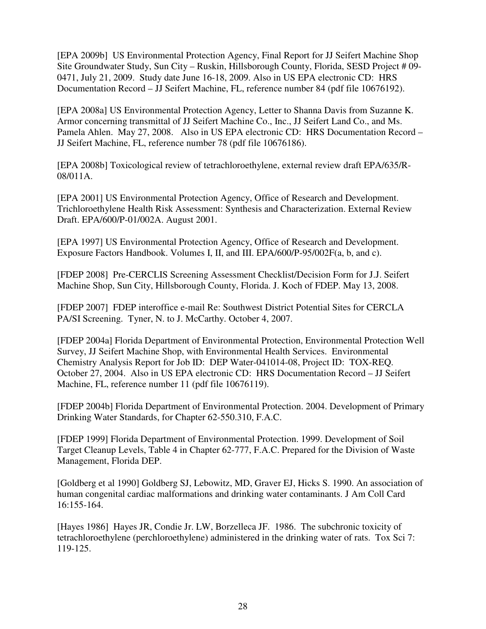[EPA 2009b] US Environmental Protection Agency, Final Report for JJ Seifert Machine Shop Site Groundwater Study, Sun City – Ruskin, Hillsborough County, Florida, SESD Project # 09- 0471, July 21, 2009. Study date June 16-18, 2009. Also in US EPA electronic CD: HRS Documentation Record – JJ Seifert Machine, FL, reference number 84 (pdf file 10676192).

[EPA 2008a] US Environmental Protection Agency, Letter to Shanna Davis from Suzanne K. Armor concerning transmittal of JJ Seifert Machine Co., Inc., JJ Seifert Land Co., and Ms. Pamela Ahlen. May 27, 2008. Also in US EPA electronic CD: HRS Documentation Record – JJ Seifert Machine, FL, reference number 78 (pdf file 10676186).

[EPA 2008b] Toxicological review of tetrachloroethylene, external review draft EPA/635/R-08/011A.

[EPA 2001] US Environmental Protection Agency, Office of Research and Development. Trichloroethylene Health Risk Assessment: Synthesis and Characterization. External Review Draft. EPA/600/P-01/002A. August 2001.

[EPA 1997] US Environmental Protection Agency, Office of Research and Development. Exposure Factors Handbook. Volumes I, II, and III. EPA/600/P-95/002F(a, b, and c).

[FDEP 2008] Pre-CERCLIS Screening Assessment Checklist/Decision Form for J.J. Seifert Machine Shop, Sun City, Hillsborough County, Florida. J. Koch of FDEP. May 13, 2008.

[FDEP 2007] FDEP interoffice e-mail Re: Southwest District Potential Sites for CERCLA PA/SI Screening. Tyner, N. to J. McCarthy. October 4, 2007.

[FDEP 2004a] Florida Department of Environmental Protection, Environmental Protection Well Survey, JJ Seifert Machine Shop, with Environmental Health Services. Environmental Chemistry Analysis Report for Job ID: DEP Water-041014-08, Project ID: TOX-REQ. October 27, 2004. Also in US EPA electronic CD: HRS Documentation Record – JJ Seifert Machine, FL, reference number 11 (pdf file 10676119).

[FDEP 2004b] Florida Department of Environmental Protection. 2004. Development of Primary Drinking Water Standards, for Chapter 62-550.310, F.A.C.

[FDEP 1999] Florida Department of Environmental Protection. 1999. Development of Soil Target Cleanup Levels, Table 4 in Chapter 62-777, F.A.C. Prepared for the Division of Waste Management, Florida DEP.

[Goldberg et al 1990] Goldberg SJ, Lebowitz, MD, Graver EJ, Hicks S. 1990. An association of human congenital cardiac malformations and drinking water contaminants. J Am Coll Card 16:155-164.

[Hayes 1986] Hayes JR, Condie Jr. LW, Borzelleca JF. 1986. The subchronic toxicity of tetrachloroethylene (perchloroethylene) administered in the drinking water of rats. Tox Sci 7: 119-125.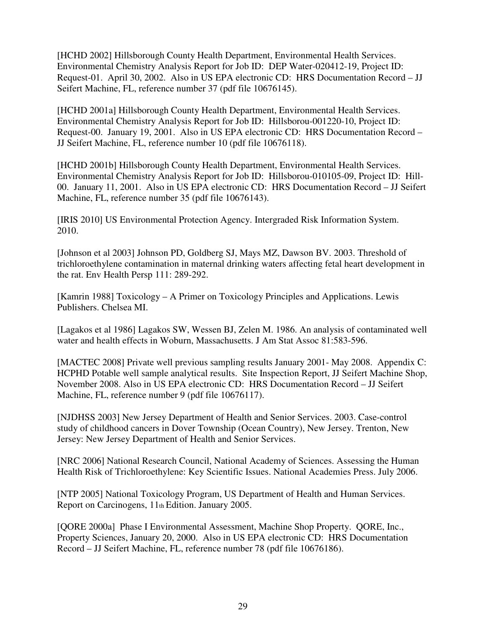[HCHD 2002] Hillsborough County Health Department, Environmental Health Services. Environmental Chemistry Analysis Report for Job ID: DEP Water-020412-19, Project ID: Request-01. April 30, 2002. Also in US EPA electronic CD: HRS Documentation Record – JJ Seifert Machine, FL, reference number 37 (pdf file 10676145).

[HCHD 2001a] Hillsborough County Health Department, Environmental Health Services. Environmental Chemistry Analysis Report for Job ID: Hillsborou-001220-10, Project ID: Request-00. January 19, 2001. Also in US EPA electronic CD: HRS Documentation Record – JJ Seifert Machine, FL, reference number 10 (pdf file 10676118).

[HCHD 2001b] Hillsborough County Health Department, Environmental Health Services. Environmental Chemistry Analysis Report for Job ID: Hillsborou-010105-09, Project ID: Hill-00. January 11, 2001. Also in US EPA electronic CD: HRS Documentation Record – JJ Seifert Machine, FL, reference number 35 (pdf file 10676143).

[IRIS 2010] US Environmental Protection Agency. Intergraded Risk Information System. 2010.

[Johnson et al 2003] Johnson PD, Goldberg SJ, Mays MZ, Dawson BV. 2003. Threshold of trichloroethylene contamination in maternal drinking waters affecting fetal heart development in the rat. Env Health Persp 111: 289-292.

[Kamrin 1988] Toxicology – A Primer on Toxicology Principles and Applications. Lewis Publishers. Chelsea MI.

[Lagakos et al 1986] Lagakos SW, Wessen BJ, Zelen M. 1986. An analysis of contaminated well water and health effects in Woburn, Massachusetts. J Am Stat Assoc 81:583-596.

[MACTEC 2008] Private well previous sampling results January 2001- May 2008. Appendix C: HCPHD Potable well sample analytical results. Site Inspection Report, JJ Seifert Machine Shop, November 2008. Also in US EPA electronic CD: HRS Documentation Record – JJ Seifert Machine, FL, reference number 9 (pdf file 10676117).

[NJDHSS 2003] New Jersey Department of Health and Senior Services. 2003. Case-control study of childhood cancers in Dover Township (Ocean Country), New Jersey. Trenton, New Jersey: New Jersey Department of Health and Senior Services.

[NRC 2006] National Research Council, National Academy of Sciences. Assessing the Human Health Risk of Trichloroethylene: Key Scientific Issues. National Academies Press. July 2006.

[NTP 2005] National Toxicology Program, US Department of Health and Human Services. Report on Carcinogens, 11th Edition. January 2005.

[QORE 2000a] Phase I Environmental Assessment, Machine Shop Property. QORE, Inc., Property Sciences, January 20, 2000. Also in US EPA electronic CD: HRS Documentation Record – JJ Seifert Machine, FL, reference number 78 (pdf file 10676186).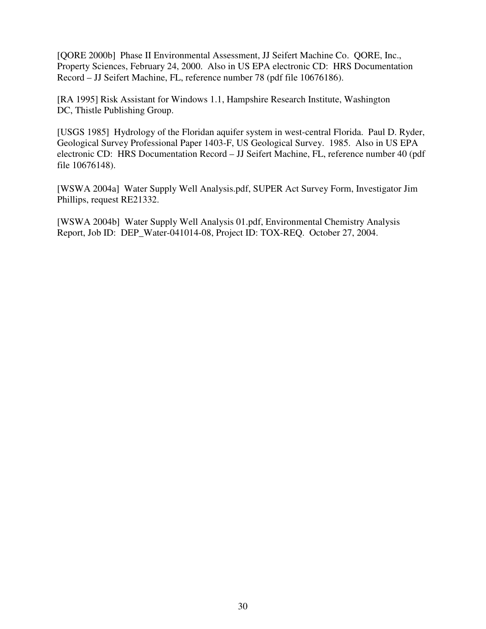[QORE 2000b] Phase II Environmental Assessment, JJ Seifert Machine Co. QORE, Inc., Property Sciences, February 24, 2000. Also in US EPA electronic CD: HRS Documentation Record – JJ Seifert Machine, FL, reference number 78 (pdf file 10676186).

[RA 1995] Risk Assistant for Windows 1.1, Hampshire Research Institute, Washington DC, Thistle Publishing Group.

[USGS 1985] Hydrology of the Floridan aquifer system in west-central Florida. Paul D. Ryder, Geological Survey Professional Paper 1403-F, US Geological Survey. 1985. Also in US EPA electronic CD: HRS Documentation Record – JJ Seifert Machine, FL, reference number 40 (pdf file 10676148).

[WSWA 2004a] Water Supply Well Analysis.pdf, SUPER Act Survey Form, Investigator Jim Phillips, request RE21332.

[WSWA 2004b] Water Supply Well Analysis 01.pdf, Environmental Chemistry Analysis Report, Job ID: DEP\_Water-041014-08, Project ID: TOX-REQ. October 27, 2004.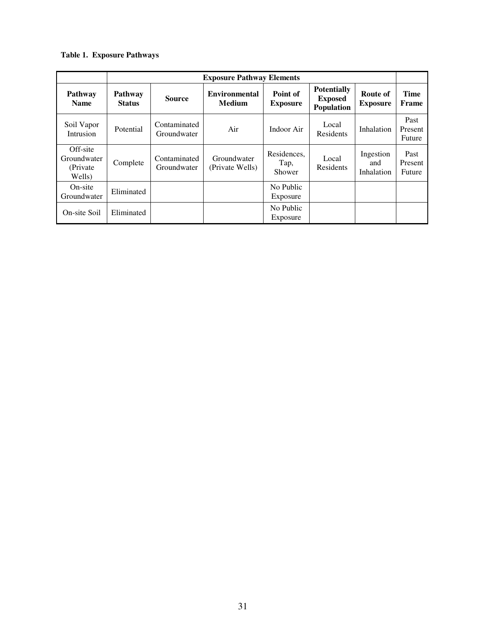#### **Table 1. Exposure Pathways**

|                                                | <b>Exposure Pathway Elements</b> |                             |                                       |                               |                                                    |                                |                           |  |  |
|------------------------------------------------|----------------------------------|-----------------------------|---------------------------------------|-------------------------------|----------------------------------------------------|--------------------------------|---------------------------|--|--|
| <b>Pathway</b><br><b>Name</b>                  | <b>Pathway</b><br><b>Status</b>  | <b>Source</b>               | <b>Environmental</b><br><b>Medium</b> | Point of<br><b>Exposure</b>   | <b>Potentially</b><br><b>Exposed</b><br>Population | Route of<br><b>Exposure</b>    | Time<br>Frame             |  |  |
| Soil Vapor<br>Intrusion                        | Potential                        | Contaminated<br>Groundwater | Air                                   | Indoor Air                    | Local<br>Residents                                 | Inhalation                     | Past<br>Present<br>Future |  |  |
| Off-site<br>Groundwater<br>(Private)<br>Wells) | Complete                         | Contaminated<br>Groundwater | Groundwater<br>(Private Wells)        | Residences,<br>Tap,<br>Shower | Local<br>Residents                                 | Ingestion<br>and<br>Inhalation | Past<br>Present<br>Future |  |  |
| On-site<br>Groundwater                         | Eliminated                       |                             |                                       | No Public<br>Exposure         |                                                    |                                |                           |  |  |
| On-site Soil                                   | Eliminated                       |                             |                                       | No Public<br>Exposure         |                                                    |                                |                           |  |  |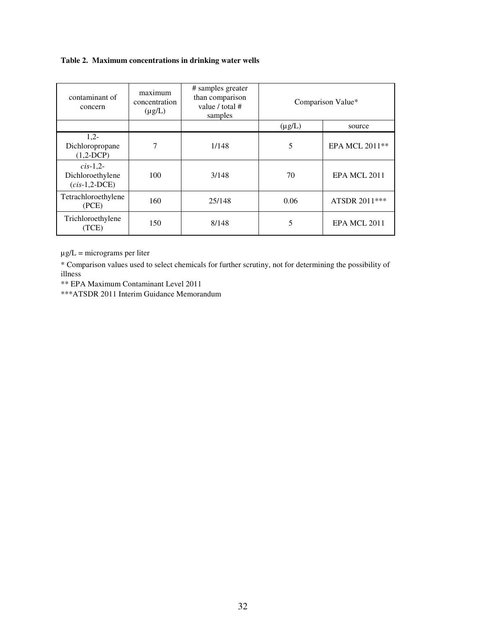#### **Table 2. Maximum concentrations in drinking water wells**

| contaminant of<br>concern                        | maximum<br>concentration<br>$(\mu g/L)$ | # samples greater<br>than comparison<br>value / total #<br>samples | Comparison Value* |                |
|--------------------------------------------------|-----------------------------------------|--------------------------------------------------------------------|-------------------|----------------|
|                                                  |                                         |                                                                    | $(\mu g/L)$       | source         |
| $1,2-$<br>Dichloropropane<br>$(1,2-DCP)$         | 7                                       | 1/148                                                              | 5                 | EPA MCL 2011** |
| $cis-1,2$<br>Dichloroethylene<br>$(cis-1,2-DCE)$ | 100                                     | 3/148                                                              | 70                | EPA MCL 2011   |
| Tetrachloroethylene<br>(PCE)                     | 160                                     | 25/148                                                             | 0.06              | ATSDR 2011***  |
| Trichloroethylene<br>(TCE)                       | 150                                     | 8/148                                                              | 5                 | EPA MCL 2011   |

 $\mu$ g/L = micrograms per liter

\* Comparison values used to select chemicals for further scrutiny, not for determining the possibility of illness

\*\* EPA Maximum Contaminant Level 2011

\*\*\*ATSDR 2011 Interim Guidance Memorandum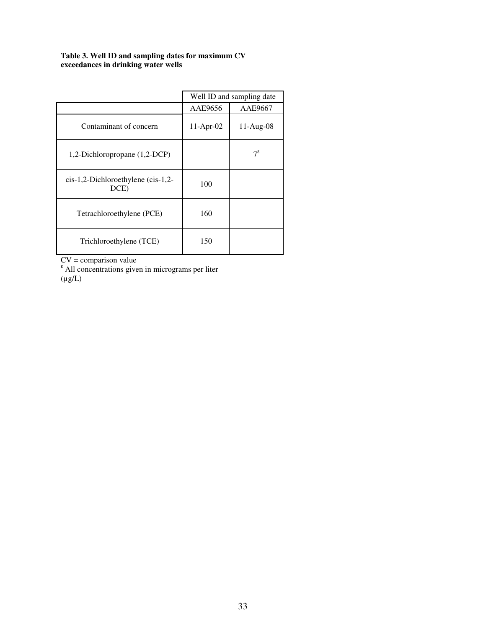#### **Table 3. Well ID and sampling dates for maximum CV exceedances in drinking water wells**

|                                                                   | Well ID and sampling date |              |  |  |
|-------------------------------------------------------------------|---------------------------|--------------|--|--|
|                                                                   | AAE9656                   | AAE9667      |  |  |
| Contaminant of concern                                            | $11-Apr-02$               | $11-Aug-08$  |  |  |
| 1,2-Dichloropropane (1,2-DCP)                                     |                           | $7^\epsilon$ |  |  |
| $cis-1,2-Dichloroethylene$ ( $cis-1,2-Dichloroethylene$ )<br>DCE) | 100                       |              |  |  |
| Tetrachloroethylene (PCE)                                         | 160                       |              |  |  |
| Trichloroethylene (TCE)                                           | 150                       |              |  |  |

 $CV = comparison value$ <br>
All concentrations given in micrograms per liter  $(\mu g/L)$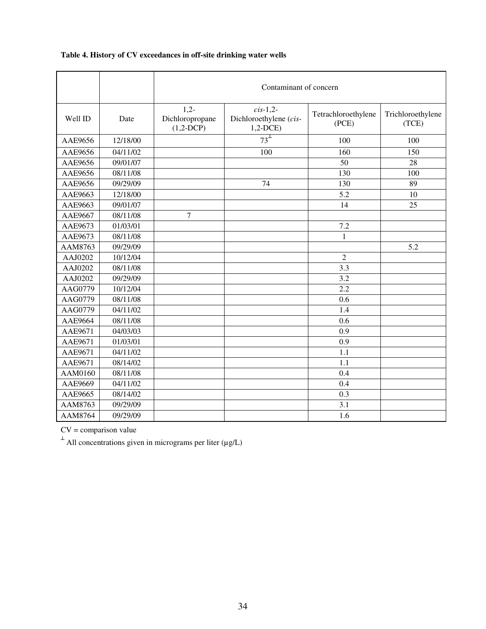|         |          | Contaminant of concern                   |                                                     |                              |                            |  |  |  |
|---------|----------|------------------------------------------|-----------------------------------------------------|------------------------------|----------------------------|--|--|--|
| Well ID | Date     | $1,2-$<br>Dichloropropane<br>$(1,2-DCP)$ | $cis-1,2-$<br>Dichloroethylene (cis-<br>$1,2$ -DCE) | Tetrachloroethylene<br>(PCE) | Trichloroethylene<br>(TCE) |  |  |  |
| AAE9656 | 12/18/00 |                                          | $73^{\perp}$                                        | 100                          | 100                        |  |  |  |
| AAE9656 | 04/11/02 |                                          | 100                                                 | 160                          | 150                        |  |  |  |
| AAE9656 | 09/01/07 |                                          |                                                     | 50                           | 28                         |  |  |  |
| AAE9656 | 08/11/08 |                                          |                                                     | 130                          | 100                        |  |  |  |
| AAE9656 | 09/29/09 |                                          | 74                                                  | 130                          | 89                         |  |  |  |
| AAE9663 | 12/18/00 |                                          |                                                     | 5.2                          | 10                         |  |  |  |
| AAE9663 | 09/01/07 |                                          |                                                     | 14                           | 25                         |  |  |  |
| AAE9667 | 08/11/08 | $\overline{7}$                           |                                                     |                              |                            |  |  |  |
| AAE9673 | 01/03/01 |                                          |                                                     | 7.2                          |                            |  |  |  |
| AAE9673 | 08/11/08 |                                          |                                                     | $\mathbf{1}$                 |                            |  |  |  |
| AAM8763 | 09/29/09 |                                          |                                                     |                              | 5.2                        |  |  |  |
| AAJ0202 | 10/12/04 |                                          |                                                     | $\overline{2}$               |                            |  |  |  |
| AAJ0202 | 08/11/08 |                                          |                                                     | 3.3                          |                            |  |  |  |
| AAJ0202 | 09/29/09 |                                          |                                                     | 3.2                          |                            |  |  |  |
| AAG0779 | 10/12/04 |                                          |                                                     | 2.2                          |                            |  |  |  |
| AAG0779 | 08/11/08 |                                          |                                                     | 0.6                          |                            |  |  |  |
| AAG0779 | 04/11/02 |                                          |                                                     | 1.4                          |                            |  |  |  |
| AAE9664 | 08/11/08 |                                          |                                                     | 0.6                          |                            |  |  |  |
| AAE9671 | 04/03/03 |                                          |                                                     | 0.9                          |                            |  |  |  |
| AAE9671 | 01/03/01 |                                          |                                                     | 0.9                          |                            |  |  |  |
| AAE9671 | 04/11/02 |                                          |                                                     | 1.1                          |                            |  |  |  |
| AAE9671 | 08/14/02 |                                          |                                                     | 1.1                          |                            |  |  |  |
| AAM0160 | 08/11/08 |                                          |                                                     | 0.4                          |                            |  |  |  |
| AAE9669 | 04/11/02 |                                          |                                                     | 0.4                          |                            |  |  |  |
| AAE9665 | 08/14/02 |                                          |                                                     | 0.3                          |                            |  |  |  |
| AAM8763 | 09/29/09 |                                          |                                                     | 3.1                          |                            |  |  |  |
| AAM8764 | 09/29/09 |                                          |                                                     | 1.6                          |                            |  |  |  |

## **Table 4. History of CV exceedances in off-site drinking water wells**

 $CV = comparison value$ 

 $^{\perp}$  All concentrations given in micrograms per liter ( $\mu$ g/L)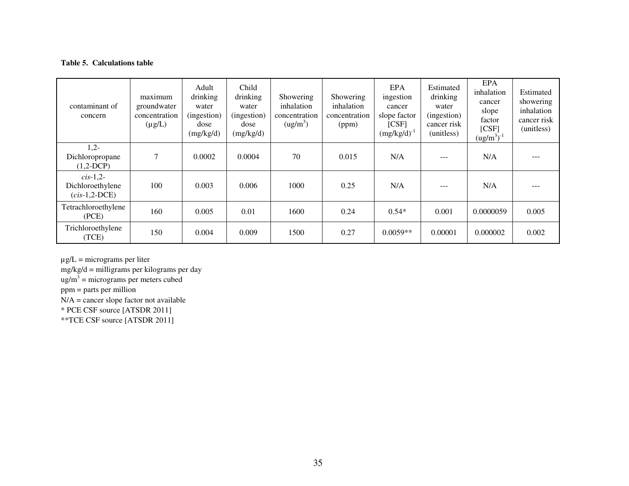#### **Table 5. Calculations table**

| contaminant of<br>concern                        | maximum<br>groundwater<br>concentration<br>$(\mu g/L)$ | Adult<br>drinking<br>water<br>(ingestion)<br>dose<br>(mg/kg/d) | Child<br>drinking<br>water<br>(ingestion)<br>dose<br>(mg/kg/d) | Showering<br>inhalation<br>concentration<br>(ug/m <sup>3</sup> ) | Showering<br>inhalation<br>concentration<br>(ppm) | EPA<br>ingestion<br>cancer<br>slope factor<br>[CSF]<br>$(mg/kg/d)^{-1}$ | Estimated<br>drinking<br>water<br>(ingestion)<br>cancer risk<br>(unitless) | <b>EPA</b><br>inhalation<br>cancer<br>slope<br>factor<br>[CSF]<br>$(ug/m^3)^{-1}$ | Estimated<br>showering<br>inhalation<br>cancer risk<br>(unitless) |
|--------------------------------------------------|--------------------------------------------------------|----------------------------------------------------------------|----------------------------------------------------------------|------------------------------------------------------------------|---------------------------------------------------|-------------------------------------------------------------------------|----------------------------------------------------------------------------|-----------------------------------------------------------------------------------|-------------------------------------------------------------------|
| $1,2-$<br>Dichloropropane<br>$(1,2-DCP)$         | 7                                                      | 0.0002                                                         | 0.0004                                                         | 70                                                               | 0.015                                             | N/A                                                                     |                                                                            | N/A                                                                               |                                                                   |
| $cis-1,2$<br>Dichloroethylene<br>$(cis-1,2-DCE)$ | 100                                                    | 0.003                                                          | 0.006                                                          | 1000                                                             | 0.25                                              | N/A                                                                     |                                                                            | N/A                                                                               |                                                                   |
| Tetrachloroethylene<br>(PCE)                     | 160                                                    | 0.005                                                          | 0.01                                                           | 1600                                                             | 0.24                                              | $0.54*$                                                                 | 0.001                                                                      | 0.0000059                                                                         | 0.005                                                             |
| Trichloroethylene<br>(TCE)                       | 150                                                    | 0.004                                                          | 0.009                                                          | 1500                                                             | 0.27                                              | $0.0059**$                                                              | 0.00001                                                                    | 0.000002                                                                          | 0.002                                                             |

 $\mu$ g/L = micrograms per liter

mg/kg/d = milligrams per kilograms per day

 $ug/m<sup>3</sup>$  = micrograms per meters cubed

ppm = parts per million

N/A = cancer slope factor not available

\* PCE CSF source [ATSDR 2011]

\*\*TCE CSF source [ATSDR 2011]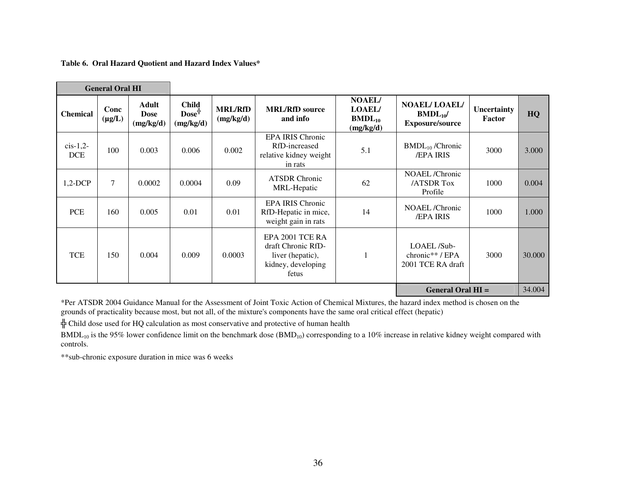**Table 6. Oral Hazard Quotient and Hazard Index Values\*** 

| <b>General Oral HI</b>  |                     |                                          |                                                     |                             |                                                                                          |                                                            |                                                              |                       |        |
|-------------------------|---------------------|------------------------------------------|-----------------------------------------------------|-----------------------------|------------------------------------------------------------------------------------------|------------------------------------------------------------|--------------------------------------------------------------|-----------------------|--------|
| <b>Chemical</b>         | Conc<br>$(\mu g/L)$ | <b>Adult</b><br><b>Dose</b><br>(mg/kg/d) | <b>Child</b><br>$\bf{Dose}^{\ddagger}$<br>(mg/kg/d) | <b>MRL/RfD</b><br>(mg/kg/d) | <b>MRL/RfD</b> source<br>and info                                                        | <b>NOAEL/</b><br><b>LOAEL/</b><br>$BMDL_{10}$<br>(mg/kg/d) | <b>NOAEL/LOAEL/</b><br>$BMDL_{10}$<br><b>Exposure/source</b> | Uncertainty<br>Factor | HQ     |
| $cis-1,2$<br><b>DCE</b> | 100                 | 0.003                                    | 0.006                                               | 0.002                       | <b>EPA IRIS Chronic</b><br>RfD-increased<br>relative kidney weight<br>in rats            | 5.1                                                        | $BMDL_{10}$ /Chronic<br><b>/EPA IRIS</b>                     | 3000                  | 3.000  |
| $1,2$ -DCP              | $\tau$              | 0.0002                                   | 0.0004                                              | 0.09                        | <b>ATSDR Chronic</b><br>MRL-Hepatic                                                      | 62                                                         | NOAEL/Chronic<br><b>/ATSDR Tox</b><br>Profile                | 1000                  | 0.004  |
| PCE                     | 160                 | 0.005                                    | 0.01                                                | 0.01                        | <b>EPA IRIS Chronic</b><br>RfD-Hepatic in mice,<br>weight gain in rats                   | 14                                                         | NOAEL/Chronic<br><b>/EPA IRIS</b>                            | 1000                  | 1.000  |
| <b>TCE</b>              | 150                 | 0.004                                    | 0.009                                               | 0.0003                      | EPA 2001 TCE RA<br>draft Chronic RfD-<br>liver (hepatic),<br>kidney, developing<br>fetus |                                                            | LOAEL/Sub-<br>chronic**/ $EPA$<br>2001 TCE RA draft          | 3000                  | 30.000 |
|                         |                     |                                          |                                                     |                             |                                                                                          |                                                            | <b>General Oral HI =</b>                                     |                       | 34.004 |

\*Per ATSDR 2004 Guidance Manual for the Assessment of Joint Toxic Action of Chemical Mixtures, the hazard index method is chosen on the grounds of practicality because most, but not all, of the mixture's components have the same oral critical effect (hepatic)

 $\frac{1}{T}$  Child dose used for HQ calculation as most conservative and protective of human health

 $BMDL_{10}$  is the 95% lower confidence limit on the benchmark dose  $(BMD_{10})$  corresponding to a 10% increase in relative kidney weight compared with controls.

\*\*sub-chronic exposure duration in mice was 6 weeks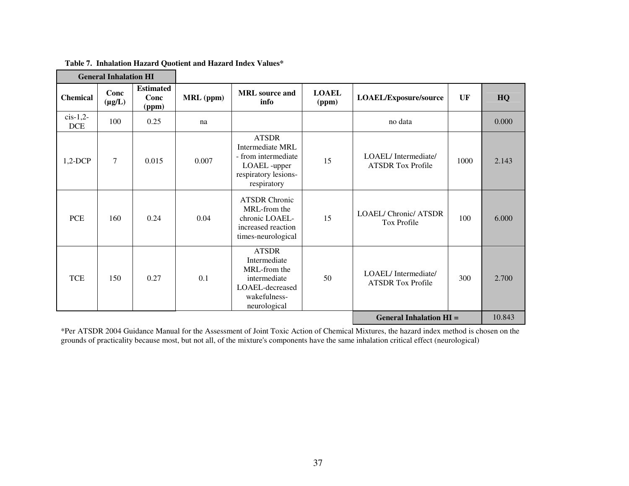| General Innalation Fil    |                     |                                   |                  |                                                                                                                 |                       |                                                    |      |        |
|---------------------------|---------------------|-----------------------------------|------------------|-----------------------------------------------------------------------------------------------------------------|-----------------------|----------------------------------------------------|------|--------|
| <b>Chemical</b>           | Conc<br>$(\mu g/L)$ | <b>Estimated</b><br>Conc<br>(ppm) | <b>MRL</b> (ppm) | <b>MRL</b> source and<br>info                                                                                   | <b>LOAEL</b><br>(ppm) | LOAEL/Exposure/source                              | UF   | HQ     |
| $cis-1,2$ -<br><b>DCE</b> | 100                 | 0.25                              | na               |                                                                                                                 |                       | no data                                            |      | 0.000  |
| $1,2$ -DCP                | $\tau$              | 0.015                             | 0.007            | <b>ATSDR</b><br>Intermediate MRL<br>- from intermediate<br>LOAEL -upper<br>respiratory lesions-<br>respiratory  | 15                    | LOAEL/Intermediate/<br><b>ATSDR Tox Profile</b>    | 1000 | 2.143  |
| <b>PCE</b>                | 160                 | 0.24                              | 0.04             | <b>ATSDR Chronic</b><br>MRL-from the<br>chronic LOAEL-<br>increased reaction<br>times-neurological              | 15                    | <b>LOAEL/ Chronic/ ATSDR</b><br><b>Tox Profile</b> | 100  | 6.000  |
| <b>TCE</b>                | 150                 | 0.27                              | 0.1              | <b>ATSDR</b><br>Intermediate<br>MRL-from the<br>intermediate<br>LOAEL-decreased<br>wakefulness-<br>neurological | 50                    | LOAEL/Intermediate/<br><b>ATSDR Tox Profile</b>    | 300  | 2.700  |
|                           |                     |                                   |                  |                                                                                                                 |                       | <b>General Inhalation HI =</b>                     |      | 10.843 |

 **Table 7. Inhalation Hazard Quotient and Hazard Index Values\* General Inhalation HI** 

\*Per ATSDR 2004 Guidance Manual for the Assessment of Joint Toxic Action of Chemical Mixtures, the hazard index method is chosen on the grounds of practicality because most, but not all, of the mixture's components have the same inhalation critical effect (neurological)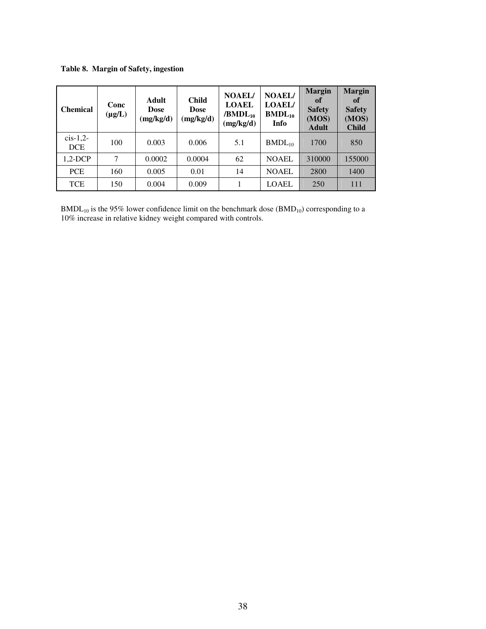**Table 8. Margin of Safety, ingestion** 

| <b>Chemical</b>         | Conc<br>$(\mu g/L)$ | Adult<br><b>Dose</b><br>(mg/kg/d) | <b>Child</b><br><b>Dose</b><br>(mg/kg/d) | <b>NOAEL/</b><br><b>LOAEL</b><br>$/BMDL_{10}$<br>(mg/kg/d) | <b>NOAEL/</b><br><b>LOAEL/</b><br>$BMDL_{10}$<br>Info | <b>Margin</b><br>of<br><b>Safety</b><br>(MOS)<br><b>Adult</b> | <b>Margin</b><br>of<br><b>Safety</b><br>(MOS)<br><b>Child</b> |
|-------------------------|---------------------|-----------------------------------|------------------------------------------|------------------------------------------------------------|-------------------------------------------------------|---------------------------------------------------------------|---------------------------------------------------------------|
| $cis-1,2$<br><b>DCE</b> | 100                 | 0.003                             | 0.006                                    | 5.1                                                        | $BMDL_{10}$                                           | 1700                                                          | 850                                                           |
| $1,2-DCP$               | 7                   | 0.0002                            | 0.0004                                   | 62                                                         | <b>NOAEL</b>                                          | 310000                                                        | 155000                                                        |
| <b>PCE</b>              | 160                 | 0.005                             | 0.01                                     | 14                                                         | <b>NOAEL</b>                                          | 2800                                                          | 1400                                                          |
| <b>TCE</b>              | 150                 | 0.004                             | 0.009                                    |                                                            | LOAEL                                                 | 250                                                           | 111                                                           |

 $BMDL_{10}$  is the 95% lower confidence limit on the benchmark dose  $(BMD_{10})$  corresponding to a 10% increase in relative kidney weight compared with controls.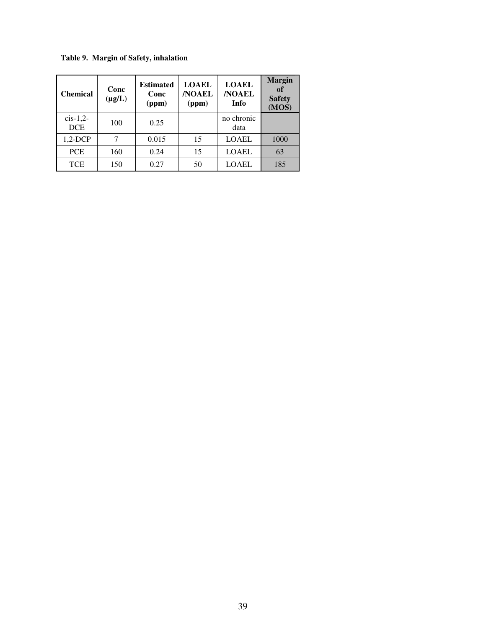**Table 9. Margin of Safety, inhalation** 

| <b>Chemical</b>           | Conc<br>$(\mu g/L)$ | <b>Estimated</b><br>Conc<br>(ppm) | <b>LOAEL</b><br><b>NOAEL</b><br>(ppm) | <b>LOAEL</b><br><b>NOAEL</b><br>Info | <b>Margin</b><br>of<br><b>Safety</b><br>(MOS) |
|---------------------------|---------------------|-----------------------------------|---------------------------------------|--------------------------------------|-----------------------------------------------|
| $cis-1,2$ -<br><b>DCE</b> | 100                 | 0.25                              |                                       | no chronic<br>data                   |                                               |
| $1,2-DCP$                 |                     | 0.015                             | 15                                    | <b>LOAEL</b>                         | 1000                                          |
| <b>PCE</b>                | 160                 | 0.24                              | 15                                    | <b>LOAEL</b>                         | 63                                            |
| <b>TCE</b>                | 150                 | 0.27                              | 50                                    | <b>LOAEL</b>                         | 185                                           |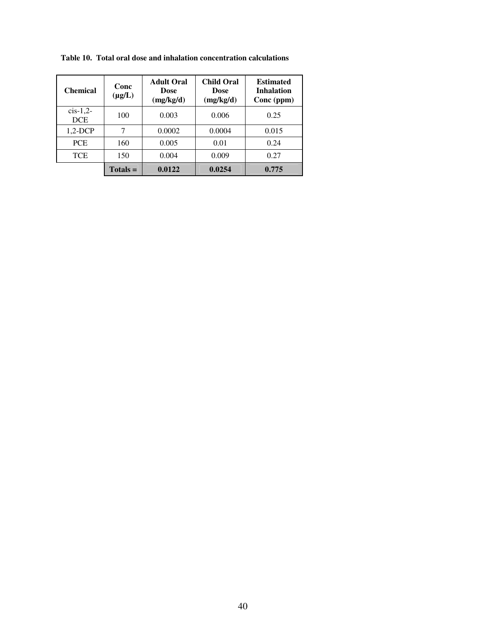| <b>Chemical</b>         | Conc<br>$(\mu g/L)$ | <b>Adult Oral</b><br>Dose<br>(mg/kg/d) | <b>Child Oral</b><br><b>Dose</b><br>(mg/kg/d) | <b>Estimated</b><br><b>Inhalation</b><br>Conc (ppm) |  |
|-------------------------|---------------------|----------------------------------------|-----------------------------------------------|-----------------------------------------------------|--|
| $cis-1,2$<br><b>DCE</b> | 100                 | 0.003                                  | 0.006                                         | 0.25                                                |  |
| $1,2-DCP$               | 7                   | 0.0002                                 | 0.0004                                        | 0.015                                               |  |
| <b>PCE</b>              | 160                 | 0.005                                  | 0.01                                          | 0.24                                                |  |
| <b>TCE</b>              | 150                 | 0.004                                  | 0.009                                         | 0.27                                                |  |
|                         | $Totals =$          | 0.0122                                 | 0.0254                                        | 0.775                                               |  |

**Table 10. Total oral dose and inhalation concentration calculations**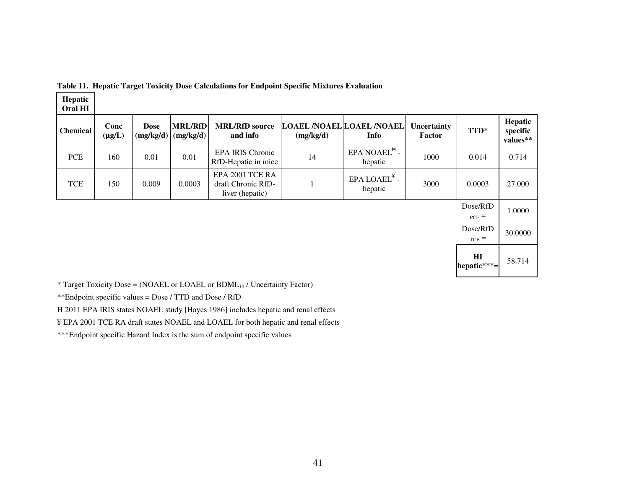| Hepatic<br><b>Oral HI</b> |                     |                          |                             |                                                          |           |                                                    |                       |                        |                                 |
|---------------------------|---------------------|--------------------------|-----------------------------|----------------------------------------------------------|-----------|----------------------------------------------------|-----------------------|------------------------|---------------------------------|
| <b>Chemical</b>           | Conc<br>$(\mu g/L)$ | <b>Dose</b><br>(mg/kg/d) | <b>MRL/RfD</b><br>(mg/kg/d) | <b>MRL/RfD</b> source<br>and info                        | (mg/kg/d) | <b>LOAEL /NOAEL LOAEL /NOAEL</b><br>Info           | Uncertainty<br>Factor | TTD*                   | Hepatic<br>specific<br>values** |
| <b>PCE</b>                | 160                 | 0.01                     | 0.01                        | <b>EPA IRIS Chronic</b><br>RfD-Hepatic in mice           | 14        | $EPA NOAEL$ <sup><math>H</math></sup> -<br>hepatic | 1000                  | 0.014                  | 0.714                           |
| <b>TCE</b>                | 150                 | 0.009                    | 0.0003                      | EPA 2001 TCE RA<br>draft Chronic RfD-<br>liver (hepatic) |           | $EPA$ LOAEL $^*$ -<br>hepatic                      | 3000                  | 0.0003                 | 27.000                          |
|                           |                     |                          |                             |                                                          |           |                                                    |                       | Dose/RfD<br>$_{PCE}$ = | 1.0000                          |

|  |  | Table 11. Hepatic Target Toxicity Dose Calculations for Endpoint Specific Mixtures Evaluation |  |  |  |
|--|--|-----------------------------------------------------------------------------------------------|--|--|--|
|  |  |                                                                                               |  |  |  |

Dose/RfD  $_{TCE}$  = 30.0000 **HI hepatic\*\*\*=**58.714

 $*$  Target Toxicity Dose = (NOAEL or LOAEL or BDML<sub>10</sub> / Uncertainty Factor)

\*\*Endpoint specific values = Dose / TTD and Dose / RfD

Ħ 2011 EPA IRIS states NOAEL study [Hayes 1986] includes hepatic and renal effects

¥ EPA 2001 TCE RA draft states NOAEL and LOAEL for both hepatic and renal effects

\*\*\*Endpoint specific Hazard Index is the sum of endpoint specific values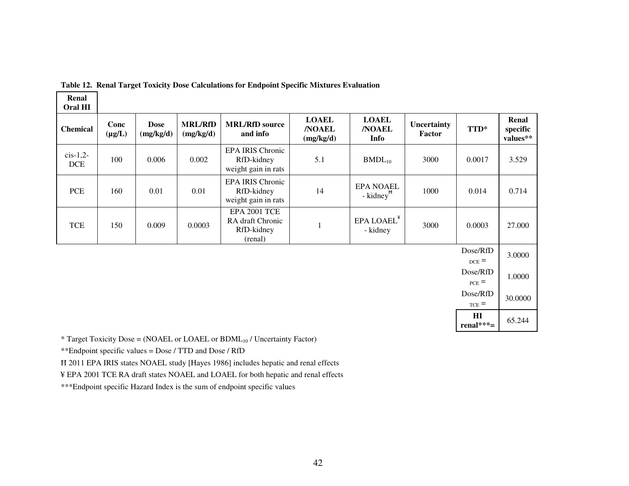| Oral HI                     |                     |                          |                             |                                                           |                                            |                                           |                       |                            |                               |
|-----------------------------|---------------------|--------------------------|-----------------------------|-----------------------------------------------------------|--------------------------------------------|-------------------------------------------|-----------------------|----------------------------|-------------------------------|
| <b>Chemical</b>             | Conc<br>$(\mu g/L)$ | <b>Dose</b><br>(mg/kg/d) | <b>MRL/RfD</b><br>(mg/kg/d) | <b>MRL/RfD</b> source<br>and info                         | <b>LOAEL</b><br><b>/NOAEL</b><br>(mg/kg/d) | <b>LOAEL</b><br><b>NOAEL</b><br>Info      | Uncertainty<br>Factor | TTD*                       | Renal<br>specific<br>values** |
| $cis-1,2-$<br><b>DCE</b>    | 100                 | 0.006                    | 0.002                       | EPA IRIS Chronic<br>RfD-kidney<br>weight gain in rats     | 5.1                                        | $BMDL_{10}$                               | 3000                  | 0.0017                     | 3.529                         |
| $\ensuremath{\textit{PCE}}$ | 160                 | 0.01                     | 0.01                        | EPA IRIS Chronic<br>RfD-kidney<br>weight gain in rats     | 14                                         | <b>EPA NOAEL</b><br>- kidney <sup>#</sup> | 1000                  | 0.014                      | 0.714                         |
| <b>TCE</b>                  | 150                 | 0.009                    | 0.0003                      | EPA 2001 TCE<br>RA draft Chronic<br>RfD-kidney<br>(renal) |                                            | EPA LOAEL <sup>¥</sup><br>- kidney        | 3000                  | 0.0003                     | 27.000                        |
|                             |                     |                          |                             |                                                           |                                            |                                           |                       | Dose/RfD<br>$_{DCE}$ =     | 3.0000                        |
|                             |                     |                          |                             |                                                           |                                            |                                           |                       | Dose/RfD<br>$_{PCE}$ =     | 1.0000                        |
|                             |                     |                          |                             |                                                           |                                            |                                           |                       | Dose/RfD<br>$_{\rm TCE}$ = | 30.0000                       |
|                             |                     |                          |                             |                                                           |                                            |                                           |                       | $\mathbf{H}$<br>renal***=  | 65.244                        |

|  |  | Table 12. Renal Target Toxicity Dose Calculations for Endpoint Specific Mixtures Evaluation |
|--|--|---------------------------------------------------------------------------------------------|
|  |  |                                                                                             |

 $*$  Target Toxicity Dose = (NOAEL or LOAEL or BDML $_{10}$  / Uncertainty Factor)

\*\*Endpoint specific values = Dose / TTD and Dose / RfD

**Renal** 

Ħ 2011 EPA IRIS states NOAEL study [Hayes 1986] includes hepatic and renal effects

¥ EPA 2001 TCE RA draft states NOAEL and LOAEL for both hepatic and renal effects

\*\*\*Endpoint specific Hazard Index is the sum of endpoint specific values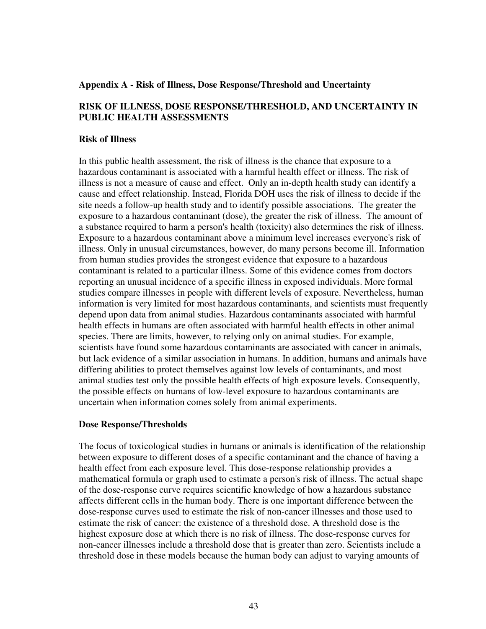#### **Appendix A - Risk of Illness, Dose Response/Threshold and Uncertainty**

#### **RISK OF ILLNESS, DOSE RESPONSE/THRESHOLD, AND UNCERTAINTY IN PUBLIC HEALTH ASSESSMENTS**

#### **Risk of Illness**

In this public health assessment, the risk of illness is the chance that exposure to a hazardous contaminant is associated with a harmful health effect or illness. The risk of illness is not a measure of cause and effect. Only an in-depth health study can identify a cause and effect relationship. Instead, Florida DOH uses the risk of illness to decide if the site needs a follow-up health study and to identify possible associations. The greater the exposure to a hazardous contaminant (dose), the greater the risk of illness. The amount of a substance required to harm a person's health (toxicity) also determines the risk of illness. Exposure to a hazardous contaminant above a minimum level increases everyone's risk of illness. Only in unusual circumstances, however, do many persons become ill. Information from human studies provides the strongest evidence that exposure to a hazardous contaminant is related to a particular illness. Some of this evidence comes from doctors reporting an unusual incidence of a specific illness in exposed individuals. More formal studies compare illnesses in people with different levels of exposure. Nevertheless, human information is very limited for most hazardous contaminants, and scientists must frequently depend upon data from animal studies. Hazardous contaminants associated with harmful health effects in humans are often associated with harmful health effects in other animal species. There are limits, however, to relying only on animal studies. For example, scientists have found some hazardous contaminants are associated with cancer in animals, but lack evidence of a similar association in humans. In addition, humans and animals have differing abilities to protect themselves against low levels of contaminants, and most animal studies test only the possible health effects of high exposure levels. Consequently, the possible effects on humans of low-level exposure to hazardous contaminants are uncertain when information comes solely from animal experiments.

#### **Dose Response/Thresholds**

The focus of toxicological studies in humans or animals is identification of the relationship between exposure to different doses of a specific contaminant and the chance of having a health effect from each exposure level. This dose-response relationship provides a mathematical formula or graph used to estimate a person's risk of illness. The actual shape of the dose-response curve requires scientific knowledge of how a hazardous substance affects different cells in the human body. There is one important difference between the dose-response curves used to estimate the risk of non-cancer illnesses and those used to estimate the risk of cancer: the existence of a threshold dose. A threshold dose is the highest exposure dose at which there is no risk of illness. The dose-response curves for non-cancer illnesses include a threshold dose that is greater than zero. Scientists include a threshold dose in these models because the human body can adjust to varying amounts of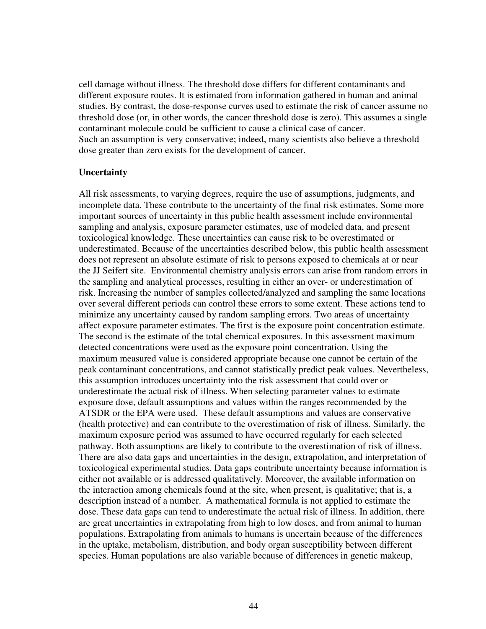cell damage without illness. The threshold dose differs for different contaminants and different exposure routes. It is estimated from information gathered in human and animal studies. By contrast, the dose-response curves used to estimate the risk of cancer assume no threshold dose (or, in other words, the cancer threshold dose is zero). This assumes a single contaminant molecule could be sufficient to cause a clinical case of cancer. Such an assumption is very conservative; indeed, many scientists also believe a threshold dose greater than zero exists for the development of cancer.

#### **Uncertainty**

All risk assessments, to varying degrees, require the use of assumptions, judgments, and incomplete data. These contribute to the uncertainty of the final risk estimates. Some more important sources of uncertainty in this public health assessment include environmental sampling and analysis, exposure parameter estimates, use of modeled data, and present toxicological knowledge. These uncertainties can cause risk to be overestimated or underestimated. Because of the uncertainties described below, this public health assessment does not represent an absolute estimate of risk to persons exposed to chemicals at or near the JJ Seifert site. Environmental chemistry analysis errors can arise from random errors in the sampling and analytical processes, resulting in either an over- or underestimation of risk. Increasing the number of samples collected/analyzed and sampling the same locations over several different periods can control these errors to some extent. These actions tend to minimize any uncertainty caused by random sampling errors. Two areas of uncertainty affect exposure parameter estimates. The first is the exposure point concentration estimate. The second is the estimate of the total chemical exposures. In this assessment maximum detected concentrations were used as the exposure point concentration. Using the maximum measured value is considered appropriate because one cannot be certain of the peak contaminant concentrations, and cannot statistically predict peak values. Nevertheless, this assumption introduces uncertainty into the risk assessment that could over or underestimate the actual risk of illness. When selecting parameter values to estimate exposure dose, default assumptions and values within the ranges recommended by the ATSDR or the EPA were used. These default assumptions and values are conservative (health protective) and can contribute to the overestimation of risk of illness. Similarly, the maximum exposure period was assumed to have occurred regularly for each selected pathway. Both assumptions are likely to contribute to the overestimation of risk of illness. There are also data gaps and uncertainties in the design, extrapolation, and interpretation of toxicological experimental studies. Data gaps contribute uncertainty because information is either not available or is addressed qualitatively. Moreover, the available information on the interaction among chemicals found at the site, when present, is qualitative; that is, a description instead of a number. A mathematical formula is not applied to estimate the dose. These data gaps can tend to underestimate the actual risk of illness. In addition, there are great uncertainties in extrapolating from high to low doses, and from animal to human populations. Extrapolating from animals to humans is uncertain because of the differences in the uptake, metabolism, distribution, and body organ susceptibility between different species. Human populations are also variable because of differences in genetic makeup,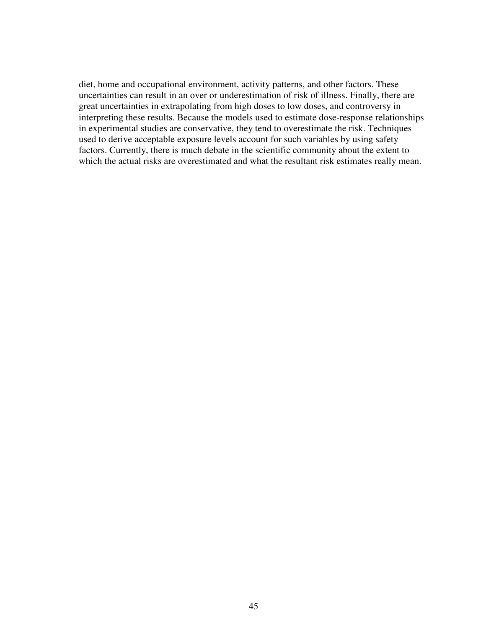diet, home and occupational environment, activity patterns, and other factors. These uncertainties can result in an over or underestimation of risk of illness. Finally, there are great uncertainties in extrapolating from high doses to low doses, and controversy in interpreting these results. Because the models used to estimate dose-response relationships in experimental studies are conservative, they tend to overestimate the risk. Techniques used to derive acceptable exposure levels account for such variables by using safety factors. Currently, there is much debate in the scientific community about the extent to which the actual risks are overestimated and what the resultant risk estimates really mean.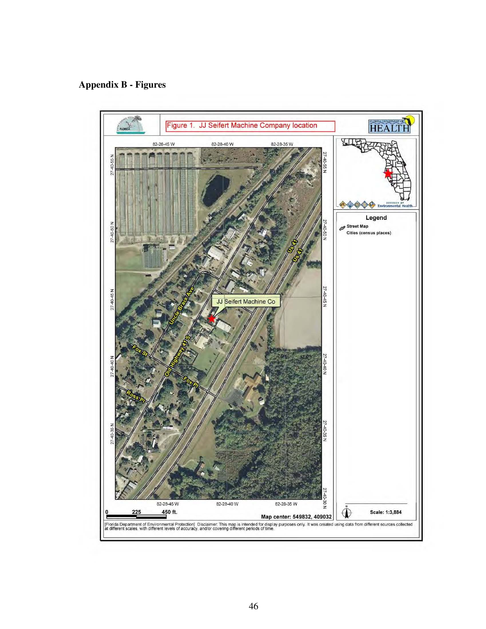# **Appendix B - Figures**

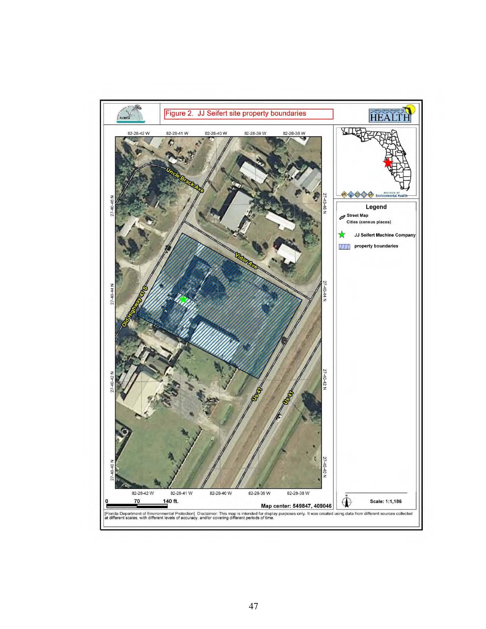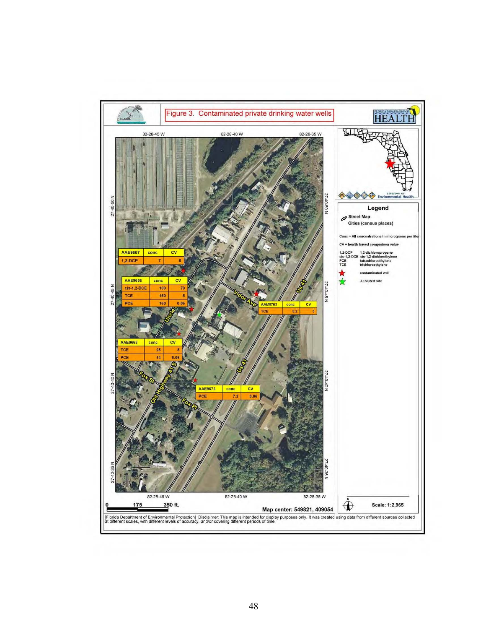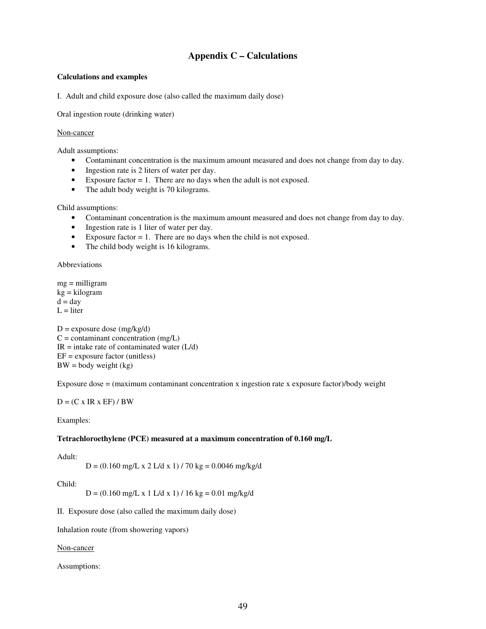#### **Appendix C – Calculations**

#### **Calculations and examples**

I. Adult and child exposure dose (also called the maximum daily dose)

Oral ingestion route (drinking water)

#### Non-cancer

Adult assumptions:

- Contaminant concentration is the maximum amount measured and does not change from day to day.
- Ingestion rate is 2 liters of water per day.
- Exposure factor  $= 1$ . There are no days when the adult is not exposed.
- The adult body weight is 70 kilograms.

Child assumptions:

- Contaminant concentration is the maximum amount measured and does not change from day to day.
- Ingestion rate is 1 liter of water per day.
- Exposure factor  $= 1$ . There are no days when the child is not exposed.
- The child body weight is 16 kilograms.

Abbreviations

mg = milligram kg = kilogram  $d = day$  $L =$  liter

 $D =$  exposure dose (mg/kg/d)  $C =$  contaminant concentration (mg/L)  $IR = \text{intake rate of contaminated water} (L/d)$  $EF =$  exposure factor (unitless)  $BW = body weight (kg)$ 

Exposure dose  $=$  (maximum contaminant concentration x ingestion rate x exposure factor)/body weight

 $D = (C \times IR \times EF) / BW$ 

Examples:

#### **Tetrachloroethylene (PCE) measured at a maximum concentration of 0.160 mg/L**

Adult:

 $D = (0.160 \text{ mg/L x } 2 \text{ L/d x } 1) / 70 \text{ kg} = 0.0046 \text{ mg/kg/d}$ 

Child:

 $D = (0.160 \text{ mg/L x } 1 \text{ L/d x } 1) / 16 \text{ kg} = 0.01 \text{ mg/kg/d}$ 

II. Exposure dose (also called the maximum daily dose)

Inhalation route (from showering vapors)

Non-cancer

Assumptions: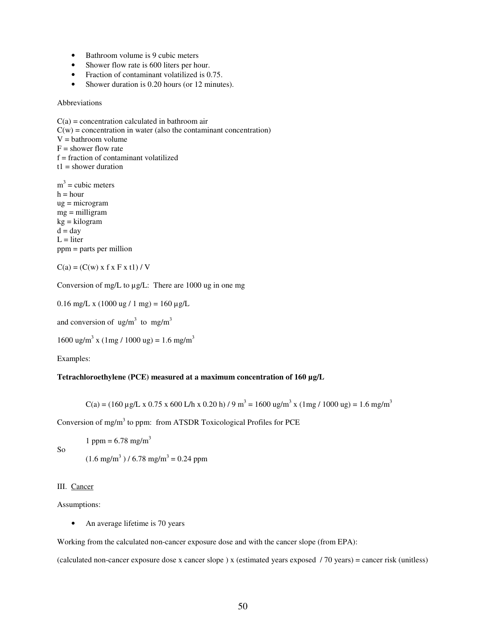- Bathroom volume is 9 cubic meters
- Shower flow rate is 600 liters per hour.
- Fraction of contaminant volatilized is 0.75.
- Shower duration is 0.20 hours (or 12 minutes).

Abbreviations

 $C(a)$  = concentration calculated in bathroom air  $C(w)$  = concentration in water (also the contaminant concentration)  $V =$  bathroom volume  $F =$  shower flow rate  $f =$  fraction of contaminant volatilized  $t1$  = shower duration  $m<sup>3</sup>$  = cubic meters

 $h = hour$ ug = microgram mg = milligram kg = kilogram  $d = day$  $L =$  liter ppm = parts per million

$$
C(a) = (C(w) \times f \times F \times t1) / V
$$

Conversion of mg/L to µg/L: There are 1000 ug in one mg

$$
0.16 \text{ mg/L} \times (1000 \text{ ug} / 1 \text{ mg}) = 160 \text{ µg/L}
$$

and conversion of  $\text{ug/m}^3$  to mg/m<sup>3</sup>

1600 ug/m<sup>3</sup> x (1mg / 1000 ug) = 1.6 mg/m<sup>3</sup>

Examples:

#### **Tetrachloroethylene (PCE) measured at a maximum concentration of 160 µg/L**

C(a) = (160 µg/L x 0.75 x 600 L/h x 0.20 h) / 9 m<sup>3</sup> = 1600 ug/m<sup>3</sup> x (1mg / 1000 ug) = 1.6 mg/m<sup>3</sup>

Conversion of mg/m<sup>3</sup> to ppm: from ATSDR Toxicological Profiles for PCE

1 ppm =  $6.78$  mg/m<sup>3</sup>

So

 $(1.6 \text{ mg/m}^3)/6.78 \text{ mg/m}^3 = 0.24 \text{ ppm}$ 

#### III. Cancer

Assumptions:

• An average lifetime is 70 years

Working from the calculated non-cancer exposure dose and with the cancer slope (from EPA):

(calculated non-cancer exposure dose x cancer slope) x (estimated years exposed / 70 years) = cancer risk (unitless)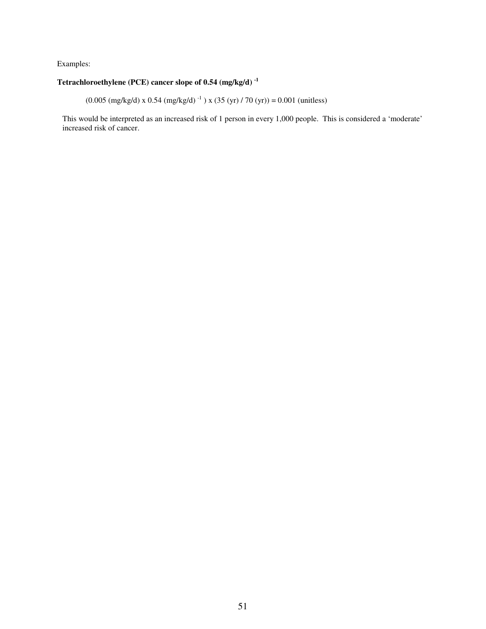#### Examples:

#### **Tetrachloroethylene (PCE) cancer slope of 0.54 (mg/kg/d) -1**

 $(0.005 \text{ (mg/kg/d)} \times 0.54 \text{ (mg/kg/d)}^{-1}) \times (35 \text{ (yr) / 70 (yr)}) = 0.001 \text{ (unitless)}$ 

This would be interpreted as an increased risk of 1 person in every 1,000 people. This is considered a 'moderate' increased risk of cancer.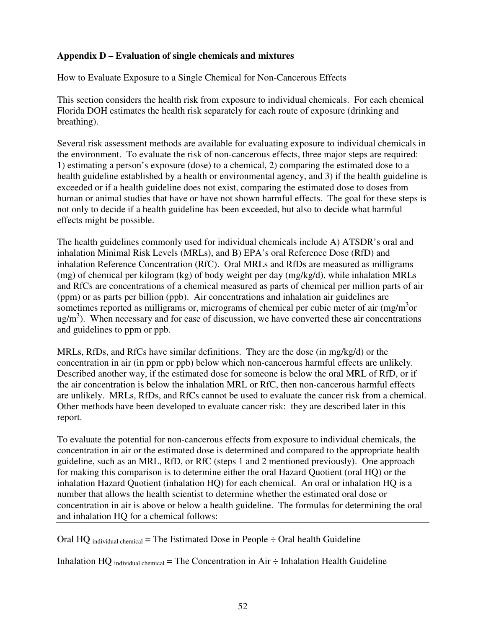## **Appendix D – Evaluation of single chemicals and mixtures**

## How to Evaluate Exposure to a Single Chemical for Non-Cancerous Effects

This section considers the health risk from exposure to individual chemicals. For each chemical Florida DOH estimates the health risk separately for each route of exposure (drinking and breathing).

Several risk assessment methods are available for evaluating exposure to individual chemicals in the environment. To evaluate the risk of non-cancerous effects, three major steps are required: 1) estimating a person's exposure (dose) to a chemical, 2) comparing the estimated dose to a health guideline established by a health or environmental agency, and 3) if the health guideline is exceeded or if a health guideline does not exist, comparing the estimated dose to doses from human or animal studies that have or have not shown harmful effects. The goal for these steps is not only to decide if a health guideline has been exceeded, but also to decide what harmful effects might be possible.

The health guidelines commonly used for individual chemicals include A) ATSDR's oral and inhalation Minimal Risk Levels (MRLs), and B) EPA's oral Reference Dose (RfD) and inhalation Reference Concentration (RfC). Oral MRLs and RfDs are measured as milligrams (mg) of chemical per kilogram (kg) of body weight per day (mg/kg/d), while inhalation MRLs and RfCs are concentrations of a chemical measured as parts of chemical per million parts of air (ppm) or as parts per billion (ppb). Air concentrations and inhalation air guidelines are sometimes reported as milligrams or, micrograms of chemical per cubic meter of air  $(mg/m<sup>3</sup>$ or  $ug/m<sup>3</sup>$ ). When necessary and for ease of discussion, we have converted these air concentrations and guidelines to ppm or ppb.

MRLs, RfDs, and RfCs have similar definitions. They are the dose (in mg/kg/d) or the concentration in air (in ppm or ppb) below which non-cancerous harmful effects are unlikely. Described another way, if the estimated dose for someone is below the oral MRL of RfD, or if the air concentration is below the inhalation MRL or RfC, then non-cancerous harmful effects are unlikely. MRLs, RfDs, and RfCs cannot be used to evaluate the cancer risk from a chemical. Other methods have been developed to evaluate cancer risk: they are described later in this report.

To evaluate the potential for non-cancerous effects from exposure to individual chemicals, the concentration in air or the estimated dose is determined and compared to the appropriate health guideline, such as an MRL, RfD, or RfC (steps 1 and 2 mentioned previously). One approach for making this comparison is to determine either the oral Hazard Quotient (oral HQ) or the inhalation Hazard Quotient (inhalation HQ) for each chemical. An oral or inhalation HQ is a number that allows the health scientist to determine whether the estimated oral dose or concentration in air is above or below a health guideline. The formulas for determining the oral and inhalation HQ for a chemical follows:

Oral HQ <sub>individual chemical</sub> = The Estimated Dose in People  $\div$  Oral health Guideline

Inhalation HQ individual chemical = The Concentration in Air  $\div$  Inhalation Health Guideline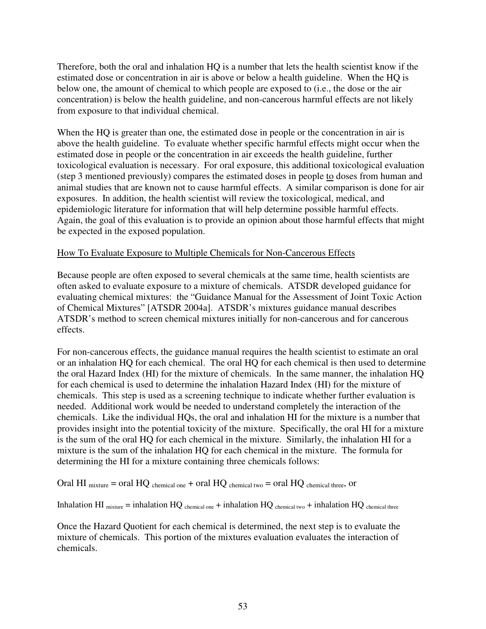Therefore, both the oral and inhalation HQ is a number that lets the health scientist know if the estimated dose or concentration in air is above or below a health guideline. When the HQ is below one, the amount of chemical to which people are exposed to (i.e., the dose or the air concentration) is below the health guideline, and non-cancerous harmful effects are not likely from exposure to that individual chemical.

When the HQ is greater than one, the estimated dose in people or the concentration in air is above the health guideline. To evaluate whether specific harmful effects might occur when the estimated dose in people or the concentration in air exceeds the health guideline, further toxicological evaluation is necessary. For oral exposure, this additional toxicological evaluation (step 3 mentioned previously) compares the estimated doses in people to doses from human and animal studies that are known not to cause harmful effects. A similar comparison is done for air exposures. In addition, the health scientist will review the toxicological, medical, and epidemiologic literature for information that will help determine possible harmful effects. Again, the goal of this evaluation is to provide an opinion about those harmful effects that might be expected in the exposed population.

#### How To Evaluate Exposure to Multiple Chemicals for Non-Cancerous Effects

Because people are often exposed to several chemicals at the same time, health scientists are often asked to evaluate exposure to a mixture of chemicals. ATSDR developed guidance for evaluating chemical mixtures: the "Guidance Manual for the Assessment of Joint Toxic Action of Chemical Mixtures" [ATSDR 2004a]. ATSDR's mixtures guidance manual describes ATSDR's method to screen chemical mixtures initially for non-cancerous and for cancerous effects.

For non-cancerous effects, the guidance manual requires the health scientist to estimate an oral or an inhalation HQ for each chemical. The oral HQ for each chemical is then used to determine the oral Hazard Index (HI) for the mixture of chemicals. In the same manner, the inhalation HQ for each chemical is used to determine the inhalation Hazard Index (HI) for the mixture of chemicals. This step is used as a screening technique to indicate whether further evaluation is needed. Additional work would be needed to understand completely the interaction of the chemicals. Like the individual HQs, the oral and inhalation HI for the mixture is a number that provides insight into the potential toxicity of the mixture. Specifically, the oral HI for a mixture is the sum of the oral HQ for each chemical in the mixture. Similarly, the inhalation HI for a mixture is the sum of the inhalation HQ for each chemical in the mixture. The formula for determining the HI for a mixture containing three chemicals follows:

Oral HI  $_{\text{mixture}}$  = oral HQ  $_{\text{chemical one}}$  + oral HQ  $_{\text{chemical two}}$  = oral HQ  $_{\text{chemical three}}$ , or

Inhalation HI  $_{\text{mixture}}$  = inhalation HQ  $_{\text{chemical one}}$  + inhalation HQ  $_{\text{chemical two}}$  + inhalation HQ  $_{\text{chemical three}}$ 

Once the Hazard Quotient for each chemical is determined, the next step is to evaluate the mixture of chemicals. This portion of the mixtures evaluation evaluates the interaction of chemicals.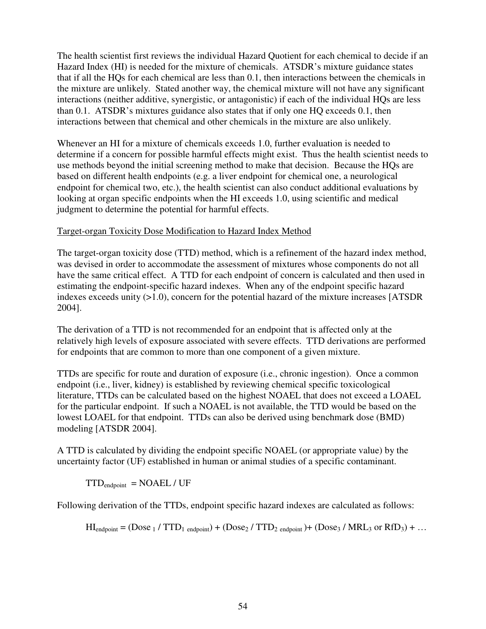The health scientist first reviews the individual Hazard Quotient for each chemical to decide if an Hazard Index (HI) is needed for the mixture of chemicals. ATSDR's mixture guidance states that if all the HQs for each chemical are less than 0.1, then interactions between the chemicals in the mixture are unlikely. Stated another way, the chemical mixture will not have any significant interactions (neither additive, synergistic, or antagonistic) if each of the individual HQs are less than 0.1. ATSDR's mixtures guidance also states that if only one HQ exceeds 0.1, then interactions between that chemical and other chemicals in the mixture are also unlikely.

Whenever an HI for a mixture of chemicals exceeds 1.0, further evaluation is needed to determine if a concern for possible harmful effects might exist. Thus the health scientist needs to use methods beyond the initial screening method to make that decision. Because the HQs are based on different health endpoints (e.g. a liver endpoint for chemical one, a neurological endpoint for chemical two, etc.), the health scientist can also conduct additional evaluations by looking at organ specific endpoints when the HI exceeds 1.0, using scientific and medical judgment to determine the potential for harmful effects.

#### Target-organ Toxicity Dose Modification to Hazard Index Method

The target-organ toxicity dose (TTD) method, which is a refinement of the hazard index method, was devised in order to accommodate the assessment of mixtures whose components do not all have the same critical effect. A TTD for each endpoint of concern is calculated and then used in estimating the endpoint-specific hazard indexes. When any of the endpoint specific hazard indexes exceeds unity (>1.0), concern for the potential hazard of the mixture increases [ATSDR 2004].

The derivation of a TTD is not recommended for an endpoint that is affected only at the relatively high levels of exposure associated with severe effects. TTD derivations are performed for endpoints that are common to more than one component of a given mixture.

TTDs are specific for route and duration of exposure (i.e., chronic ingestion). Once a common endpoint (i.e., liver, kidney) is established by reviewing chemical specific toxicological literature, TTDs can be calculated based on the highest NOAEL that does not exceed a LOAEL for the particular endpoint. If such a NOAEL is not available, the TTD would be based on the lowest LOAEL for that endpoint. TTDs can also be derived using benchmark dose (BMD) modeling [ATSDR 2004].

A TTD is calculated by dividing the endpoint specific NOAEL (or appropriate value) by the uncertainty factor (UF) established in human or animal studies of a specific contaminant.

 $TTD_{\text{endpoint}} = \text{NOAEL} / \text{UF}$ 

Following derivation of the TTDs, endpoint specific hazard indexes are calculated as follows:

 $HI_{\text{endpoint}} = (Dose_1 / TTD_1_{\text{endpoint}}) + (Dose_2 / TTD_2_{\text{endpoint}}) + (Dose_3 / MRL_3 \text{ or } RfD_3) + ...$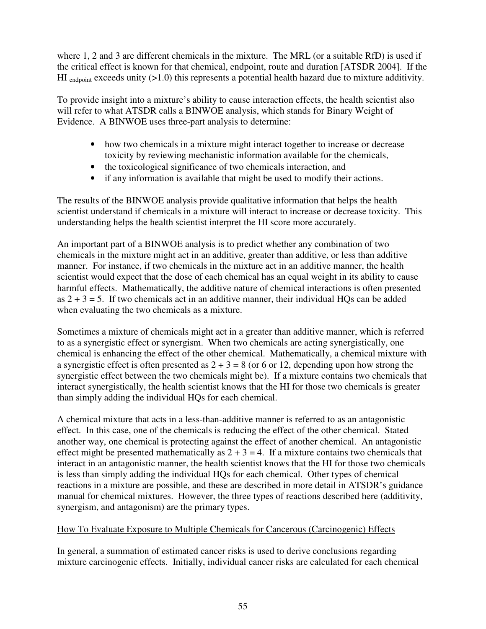where 1, 2 and 3 are different chemicals in the mixture. The MRL (or a suitable RfD) is used if the critical effect is known for that chemical, endpoint, route and duration [ATSDR 2004]. If the HI  $_{\text{endpoint}}$  exceeds unity (>1.0) this represents a potential health hazard due to mixture additivity.

To provide insight into a mixture's ability to cause interaction effects, the health scientist also will refer to what ATSDR calls a BINWOE analysis, which stands for Binary Weight of Evidence. A BINWOE uses three-part analysis to determine:

- how two chemicals in a mixture might interact together to increase or decrease toxicity by reviewing mechanistic information available for the chemicals,
- the toxicological significance of two chemicals interaction, and
- if any information is available that might be used to modify their actions.

The results of the BINWOE analysis provide qualitative information that helps the health scientist understand if chemicals in a mixture will interact to increase or decrease toxicity. This understanding helps the health scientist interpret the HI score more accurately.

An important part of a BINWOE analysis is to predict whether any combination of two chemicals in the mixture might act in an additive, greater than additive, or less than additive manner. For instance, if two chemicals in the mixture act in an additive manner, the health scientist would expect that the dose of each chemical has an equal weight in its ability to cause harmful effects. Mathematically, the additive nature of chemical interactions is often presented as  $2 + 3 = 5$ . If two chemicals act in an additive manner, their individual HQs can be added when evaluating the two chemicals as a mixture.

Sometimes a mixture of chemicals might act in a greater than additive manner, which is referred to as a synergistic effect or synergism. When two chemicals are acting synergistically, one chemical is enhancing the effect of the other chemical. Mathematically, a chemical mixture with a synergistic effect is often presented as  $2 + 3 = 8$  (or 6 or 12, depending upon how strong the synergistic effect between the two chemicals might be). If a mixture contains two chemicals that interact synergistically, the health scientist knows that the HI for those two chemicals is greater than simply adding the individual HQs for each chemical.

A chemical mixture that acts in a less-than-additive manner is referred to as an antagonistic effect. In this case, one of the chemicals is reducing the effect of the other chemical. Stated another way, one chemical is protecting against the effect of another chemical. An antagonistic effect might be presented mathematically as  $2 + 3 = 4$ . If a mixture contains two chemicals that interact in an antagonistic manner, the health scientist knows that the HI for those two chemicals is less than simply adding the individual HQs for each chemical. Other types of chemical reactions in a mixture are possible, and these are described in more detail in ATSDR's guidance manual for chemical mixtures. However, the three types of reactions described here (additivity, synergism, and antagonism) are the primary types.

## How To Evaluate Exposure to Multiple Chemicals for Cancerous (Carcinogenic) Effects

In general, a summation of estimated cancer risks is used to derive conclusions regarding mixture carcinogenic effects. Initially, individual cancer risks are calculated for each chemical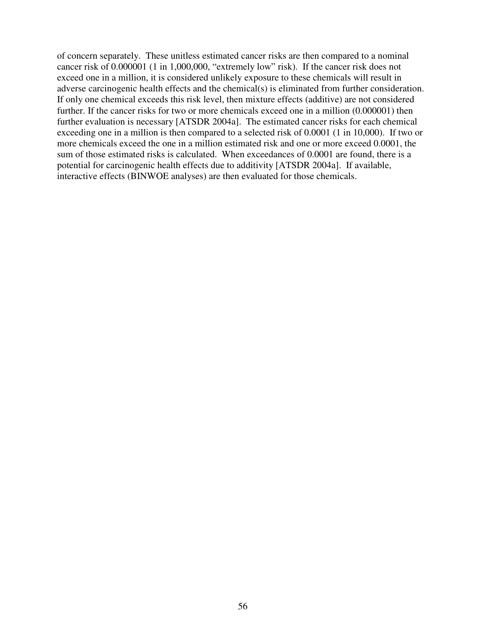of concern separately. These unitless estimated cancer risks are then compared to a nominal cancer risk of 0.000001 (1 in 1,000,000, "extremely low" risk). If the cancer risk does not exceed one in a million, it is considered unlikely exposure to these chemicals will result in adverse carcinogenic health effects and the chemical(s) is eliminated from further consideration. If only one chemical exceeds this risk level, then mixture effects (additive) are not considered further. If the cancer risks for two or more chemicals exceed one in a million (0.000001) then further evaluation is necessary [ATSDR 2004a]. The estimated cancer risks for each chemical exceeding one in a million is then compared to a selected risk of 0.0001 (1 in 10,000). If two or more chemicals exceed the one in a million estimated risk and one or more exceed 0.0001, the sum of those estimated risks is calculated. When exceedances of 0.0001 are found, there is a potential for carcinogenic health effects due to additivity [ATSDR 2004a]. If available, interactive effects (BINWOE analyses) are then evaluated for those chemicals.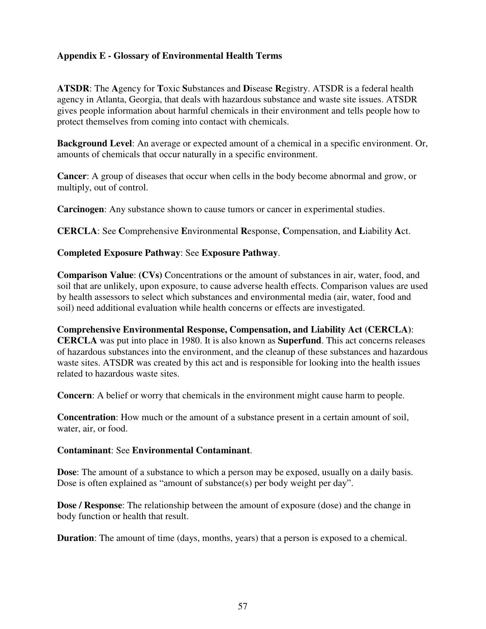## **Appendix E - Glossary of Environmental Health Terms**

**ATSDR**: The **A**gency for **T**oxic **S**ubstances and **D**isease **R**egistry. ATSDR is a federal health agency in Atlanta, Georgia, that deals with hazardous substance and waste site issues. ATSDR gives people information about harmful chemicals in their environment and tells people how to protect themselves from coming into contact with chemicals.

**Background Level**: An average or expected amount of a chemical in a specific environment. Or, amounts of chemicals that occur naturally in a specific environment.

**Cancer**: A group of diseases that occur when cells in the body become abnormal and grow, or multiply, out of control.

**Carcinogen**: Any substance shown to cause tumors or cancer in experimental studies.

**CERCLA**: See **C**omprehensive **E**nvironmental **R**esponse, **C**ompensation, and **L**iability **A**ct.

#### **Completed Exposure Pathway**: See **Exposure Pathway**.

**Comparison Value**: **(CVs)** Concentrations or the amount of substances in air, water, food, and soil that are unlikely, upon exposure, to cause adverse health effects. Comparison values are used by health assessors to select which substances and environmental media (air, water, food and soil) need additional evaluation while health concerns or effects are investigated.

**Comprehensive Environmental Response, Compensation, and Liability Act (CERCLA)**: **CERCLA** was put into place in 1980. It is also known as **Superfund**. This act concerns releases of hazardous substances into the environment, and the cleanup of these substances and hazardous waste sites. ATSDR was created by this act and is responsible for looking into the health issues related to hazardous waste sites.

**Concern**: A belief or worry that chemicals in the environment might cause harm to people.

**Concentration**: How much or the amount of a substance present in a certain amount of soil, water, air, or food.

#### **Contaminant**: See **Environmental Contaminant**.

**Dose:** The amount of a substance to which a person may be exposed, usually on a daily basis. Dose is often explained as "amount of substance(s) per body weight per day".

**Dose / Response**: The relationship between the amount of exposure (dose) and the change in body function or health that result.

**Duration**: The amount of time (days, months, years) that a person is exposed to a chemical.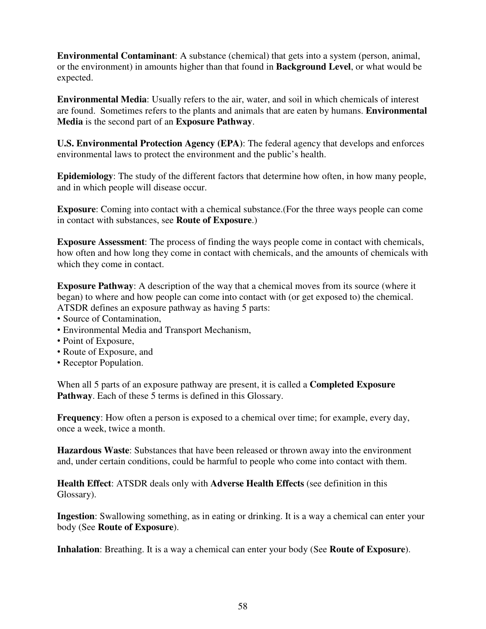**Environmental Contaminant**: A substance (chemical) that gets into a system (person, animal, or the environment) in amounts higher than that found in **Background Level**, or what would be expected.

**Environmental Media**: Usually refers to the air, water, and soil in which chemicals of interest are found. Sometimes refers to the plants and animals that are eaten by humans. **Environmental Media** is the second part of an **Exposure Pathway**.

**U.S. Environmental Protection Agency (EPA)**: The federal agency that develops and enforces environmental laws to protect the environment and the public's health.

**Epidemiology**: The study of the different factors that determine how often, in how many people, and in which people will disease occur.

**Exposure**: Coming into contact with a chemical substance.(For the three ways people can come in contact with substances, see **Route of Exposure**.)

**Exposure Assessment**: The process of finding the ways people come in contact with chemicals, how often and how long they come in contact with chemicals, and the amounts of chemicals with which they come in contact.

**Exposure Pathway:** A description of the way that a chemical moves from its source (where it began) to where and how people can come into contact with (or get exposed to) the chemical. ATSDR defines an exposure pathway as having 5 parts:

- Source of Contamination,
- Environmental Media and Transport Mechanism,
- Point of Exposure,
- Route of Exposure, and
- Receptor Population.

When all 5 parts of an exposure pathway are present, it is called a **Completed Exposure Pathway**. Each of these 5 terms is defined in this Glossary.

**Frequency**: How often a person is exposed to a chemical over time; for example, every day, once a week, twice a month.

**Hazardous Waste**: Substances that have been released or thrown away into the environment and, under certain conditions, could be harmful to people who come into contact with them.

**Health Effect**: ATSDR deals only with **Adverse Health Effects** (see definition in this Glossary).

**Ingestion**: Swallowing something, as in eating or drinking. It is a way a chemical can enter your body (See **Route of Exposure**).

**Inhalation**: Breathing. It is a way a chemical can enter your body (See **Route of Exposure**).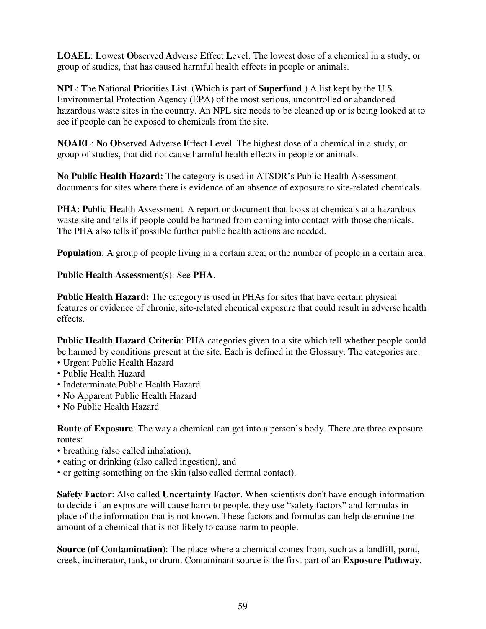**LOAEL**: **L**owest **O**bserved **A**dverse **E**ffect **L**evel. The lowest dose of a chemical in a study, or group of studies, that has caused harmful health effects in people or animals.

**NPL**: The **N**ational **P**riorities **L**ist. (Which is part of **Superfund**.) A list kept by the U.S. Environmental Protection Agency (EPA) of the most serious, uncontrolled or abandoned hazardous waste sites in the country. An NPL site needs to be cleaned up or is being looked at to see if people can be exposed to chemicals from the site.

**NOAEL**: **N**o **O**bserved **A**dverse **E**ffect **L**evel. The highest dose of a chemical in a study, or group of studies, that did not cause harmful health effects in people or animals.

**No Public Health Hazard:** The category is used in ATSDR's Public Health Assessment documents for sites where there is evidence of an absence of exposure to site-related chemicals.

**PHA**: **P**ublic **H**ealth **A**ssessment. A report or document that looks at chemicals at a hazardous waste site and tells if people could be harmed from coming into contact with those chemicals. The PHA also tells if possible further public health actions are needed.

**Population**: A group of people living in a certain area; or the number of people in a certain area.

#### **Public Health Assessment(s)**: See **PHA**.

**Public Health Hazard:** The category is used in PHAs for sites that have certain physical features or evidence of chronic, site-related chemical exposure that could result in adverse health effects.

**Public Health Hazard Criteria**: PHA categories given to a site which tell whether people could be harmed by conditions present at the site. Each is defined in the Glossary. The categories are:

- Urgent Public Health Hazard
- Public Health Hazard
- Indeterminate Public Health Hazard
- No Apparent Public Health Hazard
- No Public Health Hazard

**Route of Exposure:** The way a chemical can get into a person's body. There are three exposure routes:

- breathing (also called inhalation),
- eating or drinking (also called ingestion), and
- or getting something on the skin (also called dermal contact).

**Safety Factor**: Also called **Uncertainty Factor**. When scientists don't have enough information to decide if an exposure will cause harm to people, they use "safety factors" and formulas in place of the information that is not known. These factors and formulas can help determine the amount of a chemical that is not likely to cause harm to people.

**Source (of Contamination)**: The place where a chemical comes from, such as a landfill, pond, creek, incinerator, tank, or drum. Contaminant source is the first part of an **Exposure Pathway**.